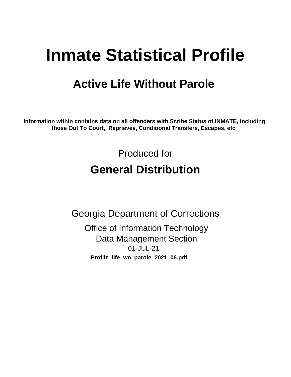# **Inmate Statistical Profile**

## **Active Life Without Parole**

Information within contains data on all offenders with Scribe Status of INMATE, including those Out To Court, Reprieves, Conditional Transfers, Escapes, etc

> Produced for **General Distribution**

**Georgia Department of Corrections Office of Information Technology Data Management Section** 01-JUL-21 Profile\_life\_wo\_parole\_2021\_06.pdf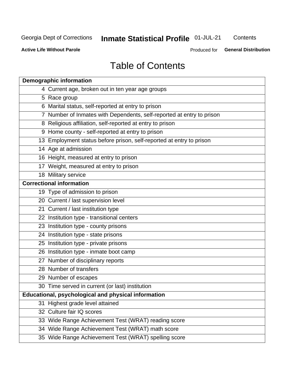## **Inmate Statistical Profile 01-JUL-21**

Contents

**Active Life Without Parole** 

**General Distribution** Produced for

## **Table of Contents**

|    | <b>Demographic information</b>                                        |
|----|-----------------------------------------------------------------------|
|    | 4 Current age, broken out in ten year age groups                      |
|    | 5 Race group                                                          |
|    | 6 Marital status, self-reported at entry to prison                    |
|    | 7 Number of Inmates with Dependents, self-reported at entry to prison |
|    | 8 Religious affiliation, self-reported at entry to prison             |
|    | 9 Home county - self-reported at entry to prison                      |
|    | 13 Employment status before prison, self-reported at entry to prison  |
|    | 14 Age at admission                                                   |
|    | 16 Height, measured at entry to prison                                |
|    | 17 Weight, measured at entry to prison                                |
|    | 18 Military service                                                   |
|    | <b>Correctional information</b>                                       |
|    | 19 Type of admission to prison                                        |
|    | 20 Current / last supervision level                                   |
|    | 21 Current / last institution type                                    |
|    | 22 Institution type - transitional centers                            |
|    | 23 Institution type - county prisons                                  |
|    | 24 Institution type - state prisons                                   |
|    | 25 Institution type - private prisons                                 |
|    | 26 Institution type - inmate boot camp                                |
|    | 27 Number of disciplinary reports                                     |
|    | 28 Number of transfers                                                |
|    | 29 Number of escapes                                                  |
|    | 30 Time served in current (or last) institution                       |
|    | Educational, psychological and physical information                   |
| 31 | Highest grade level attained                                          |
|    | 32 Culture fair IQ scores                                             |
|    | 33 Wide Range Achievement Test (WRAT) reading score                   |
|    | 34 Wide Range Achievement Test (WRAT) math score                      |
|    | 35 Wide Range Achievement Test (WRAT) spelling score                  |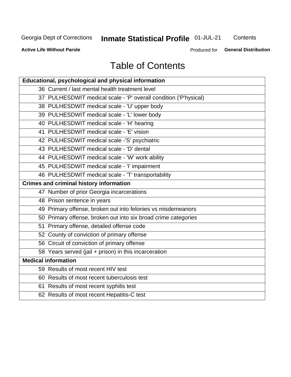## **Inmate Statistical Profile 01-JUL-21**

Contents

**Active Life Without Parole** 

**General Distribution** Produced for

## **Table of Contents**

| Educational, psychological and physical information              |
|------------------------------------------------------------------|
| 36 Current / last mental health treatment level                  |
| 37 PULHESDWIT medical scale - 'P' overall condition ('P'hysical) |
| 38 PULHESDWIT medical scale - 'U' upper body                     |
| 39 PULHESDWIT medical scale - 'L' lower body                     |
| 40 PULHESDWIT medical scale - 'H' hearing                        |
| 41 PULHESDWIT medical scale - 'E' vision                         |
| 42 PULHESDWIT medical scale -'S' psychiatric                     |
| 43 PULHESDWIT medical scale - 'D' dental                         |
| 44 PULHESDWIT medical scale - 'W' work ability                   |
| 45 PULHESDWIT medical scale - 'I' impairment                     |
| 46 PULHESDWIT medical scale - 'T' transportability               |
| <b>Crimes and criminal history information</b>                   |
| 47 Number of prior Georgia incarcerations                        |
| 48 Prison sentence in years                                      |
| 49 Primary offense, broken out into felonies vs misdemeanors     |
| 50 Primary offense, broken out into six broad crime categories   |
| 51 Primary offense, detailed offense code                        |
| 52 County of conviction of primary offense                       |
| 56 Circuit of conviction of primary offense                      |
| 58 Years served (jail + prison) in this incarceration            |
| <b>Medical information</b>                                       |
| 59 Results of most recent HIV test                               |
| 60 Results of most recent tuberculosis test                      |
| 61 Results of most recent syphilis test                          |
| 62 Results of most recent Hepatitis-C test                       |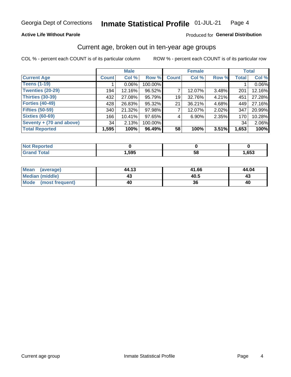### **Active Life Without Parole**

### Produced for General Distribution

## Current age, broken out in ten-year age groups

COL % - percent each COUNT is of its particular column

|                          |              | <b>Male</b> |         | <b>Female</b> |          |          | <b>Total</b> |        |
|--------------------------|--------------|-------------|---------|---------------|----------|----------|--------------|--------|
| <b>Current Age</b>       | <b>Count</b> | Col %       | Row %   | <b>Count</b>  | Col %    | Row %    | <b>Total</b> | Col %  |
| <b>Teens (1-19)</b>      |              | $0.06\%$    | 100.00% |               |          |          |              | 0.06%  |
| <b>Twenties (20-29)</b>  | 194          | 12.16%      | 96.52%  |               | 12.07%   | $3.48\%$ | 201          | 12.16% |
| Thirties (30-39)         | 432          | 27.08%      | 95.79%  | 19            | 32.76%   | 4.21%    | 451          | 27.28% |
| <b>Forties (40-49)</b>   | 428          | 26.83%      | 95.32%  | 21            | 36.21%   | 4.68%    | 449          | 27.16% |
| <b>Fifties (50-59)</b>   | 340          | 21.32%      | 97.98%  |               | 12.07%   | 2.02%    | 347          | 20.99% |
| <b>Sixties (60-69)</b>   | 166          | 10.41%      | 97.65%  | 4             | $6.90\%$ | 2.35%    | 170          | 10.28% |
| Seventy + (70 and above) | 34           | 2.13%       | 100.00% |               |          |          | 34           | 2.06%  |
| <b>Total Reported</b>    | 1,595        | 100%        | 96.49%  | 58            | 100%     | 3.51%    | 1,653        | 100%   |

| <b>Not Reported</b> |      |    |      |
|---------------------|------|----|------|
| <b>Total</b>        | ,595 | 58 | ,653 |

| Mean<br>(average)      | 44.13 | 41.66 | 44.04 |
|------------------------|-------|-------|-------|
| <b>Median (middle)</b> |       | 40.5  |       |
| Mode (most frequent)   | 40    |       | 40    |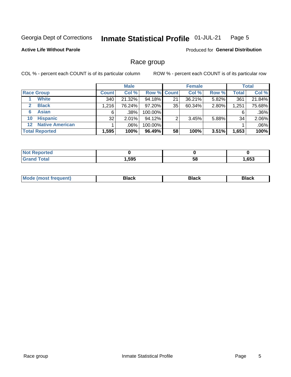#### Inmate Statistical Profile 01-JUL-21 Page 5

### **Active Life Without Parole**

Produced for General Distribution

## Race group

COL % - percent each COUNT is of its particular column

|                       |                        |              | <b>Male</b> |         |                    | <b>Female</b> |       |              | <b>Total</b> |  |
|-----------------------|------------------------|--------------|-------------|---------|--------------------|---------------|-------|--------------|--------------|--|
|                       | <b>Race Group</b>      | <b>Count</b> | Col %       |         | <b>Row % Count</b> | Col %         | Row % | <b>Total</b> | Col %        |  |
|                       | <b>White</b>           | 340          | 21.32%      | 94.18%  | 21                 | 36.21%        | 5.82% | 361          | 21.84%       |  |
| $\mathbf{2}$          | <b>Black</b>           | 1.216        | 76.24%      | 97.20%  | 35                 | 60.34%        | 2.80% | 1,251        | 75.68%       |  |
| 6                     | <b>Asian</b>           | 6            | .38%        | 100.00% |                    |               |       | 6            | .36%         |  |
| 10                    | <b>Hispanic</b>        | 32           | 2.01%       | 94.12%  | ◠                  | 3.45%         | 5.88% | 34           | 2.06%        |  |
| $12 \,$               | <b>Native American</b> |              | .06%        | 100.00% |                    |               |       |              | .06%         |  |
| <b>Total Reported</b> |                        | 1,595        | 100%        | 96.49%  | 58                 | 100%          | 3.51% | 1,653        | 100%         |  |

| <b>rtea</b>           |      |    |      |
|-----------------------|------|----|------|
| $f \wedge f \wedge f$ | ,595 | 58 | ,653 |

| M | - - - |  |
|---|-------|--|
|   |       |  |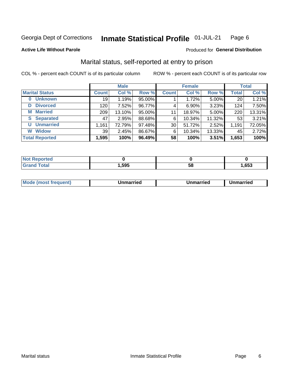#### Inmate Statistical Profile 01-JUL-21 Page 6

**Active Life Without Parole** 

### Produced for General Distribution

## Marital status, self-reported at entry to prison

COL % - percent each COUNT is of its particular column

|                            | <b>Male</b>  |        |        |              | <b>Female</b> | <b>Total</b> |              |        |
|----------------------------|--------------|--------|--------|--------------|---------------|--------------|--------------|--------|
| <b>Marital Status</b>      | <b>Count</b> | Col %  | Row %  | <b>Count</b> | Col %         | Row %        | <b>Total</b> | Col %  |
| <b>Unknown</b><br>$\bf{0}$ | 19           | 1.19%  | 95.00% |              | 1.72%         | 5.00%        | 20           | 1.21%  |
| <b>Divorced</b><br>D       | 120          | 7.52%  | 96.77% | 4            | $6.90\%$      | 3.23%        | 124          | 7.50%  |
| <b>Married</b><br>М        | 209          | 13.10% | 95.00% | 11           | 18.97%        | 5.00%        | 220          | 13.31% |
| <b>Separated</b><br>S.     | 47           | 2.95%  | 88.68% | 6            | 10.34%        | 11.32%       | 53           | 3.21%  |
| <b>Unmarried</b><br>U      | 1,161        | 72.79% | 97.48% | 30           | 51.72%        | 2.52%        | 1,191        | 72.05% |
| <b>Widow</b><br>W          | 39           | 2.45%  | 86.67% | 6            | 10.34%        | 13.33%       | 45           | 2.72%  |
| <b>Total Reported</b>      | 1,595        | 100%   | 96.49% | 58           | 100%          | 3.51%        | 1,653        | 100%   |

| <b>Not Reported</b><br>. <b>.</b> |      |    |      |
|-----------------------------------|------|----|------|
| <b>Total</b>                      | ,595 | эa | .653 |

|--|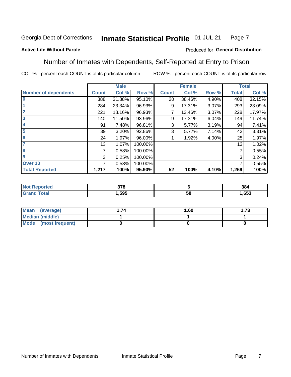#### Inmate Statistical Profile 01-JUL-21 Page 7

### **Active Life Without Parole**

### Produced for General Distribution

## Number of Inmates with Dependents, Self-Reported at Entry to Prison

COL % - percent each COUNT is of its particular column

|                             |              | <b>Male</b> |         |              | <b>Female</b> |       |              | <b>Total</b> |
|-----------------------------|--------------|-------------|---------|--------------|---------------|-------|--------------|--------------|
| <b>Number of dependents</b> | <b>Count</b> | Col %       | Row %   | <b>Count</b> | Col %         | Row % | <b>Total</b> | Col %        |
| $\bf{0}$                    | 388          | 31.88%      | 95.10%  | 20           | 38.46%        | 4.90% | 408          | 32.15%       |
|                             | 284          | 23.34%      | 96.93%  | 9            | 17.31%        | 3.07% | 293          | 23.09%       |
| $\overline{2}$              | 221          | 18.16%      | 96.93%  |              | 13.46%        | 3.07% | 228          | 17.97%       |
| 3                           | 140          | 11.50%      | 93.96%  | 9            | 17.31%        | 6.04% | 149          | 11.74%       |
| 4                           | 91           | 7.48%       | 96.81%  | 3            | 5.77%         | 3.19% | 94           | 7.41%        |
| 5                           | 39           | 3.20%       | 92.86%  | 3            | 5.77%         | 7.14% | 42           | 3.31%        |
| $6\phantom{1}6$             | 24           | 1.97%       | 96.00%  |              | 1.92%         | 4.00% | 25           | 1.97%        |
| 7                           | 13           | 1.07%       | 100.00% |              |               |       | 13           | 1.02%        |
| 8                           | 7            | 0.58%       | 100.00% |              |               |       | 7            | 0.55%        |
| 9                           | 3            | 0.25%       | 100.00% |              |               |       | 3            | 0.24%        |
| Over 10                     | 7            | 0.58%       | 100.00% |              |               |       | 7            | 0.55%        |
| <b>Total Reported</b>       | 1,217        | 100%        | 95.90%  | 52           | 100%          | 4.10% | 1,269        | 100%         |

| 270<br>uu<br>$ -$ |          | 384  |
|-------------------|----------|------|
| .595              | . .<br>◡ | ,653 |

| <b>Mean</b><br>(average) | 1.60 | - 72<br>I. I J |
|--------------------------|------|----------------|
| Median (middle)          |      |                |
| Mode<br>(most frequent)  |      |                |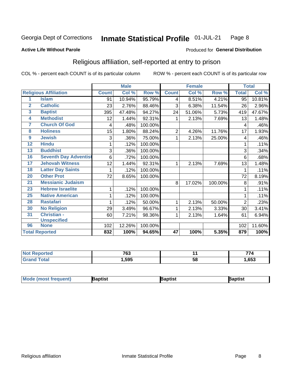#### **Inmate Statistical Profile 01-JUL-21** Page 8

#### **Active Life Without Parole**

### Produced for General Distribution

## Religious affiliation, self-reported at entry to prison

COL % - percent each COUNT is of its particular column

|                         |                              |              | <b>Male</b> |         |                 | <b>Female</b> |         |                | <b>Total</b> |
|-------------------------|------------------------------|--------------|-------------|---------|-----------------|---------------|---------|----------------|--------------|
|                         | <b>Religious Affiliation</b> | <b>Count</b> | Col %       | Row %   | <b>Count</b>    | Col %         | Row %   | <b>Total</b>   | Col %        |
| 1                       | <b>Islam</b>                 | 91           | 10.94%      | 95.79%  | $\overline{4}$  | 8.51%         | 4.21%   | 95             | 10.81%       |
| $\overline{\mathbf{2}}$ | <b>Catholic</b>              | 23           | 2.76%       | 88.46%  | 3               | 6.38%         | 11.54%  | 26             | 2.96%        |
| 3                       | <b>Baptist</b>               | 395          | 47.48%      | 94.27%  | 24              | 51.06%        | 5.73%   | 419            | 47.67%       |
| 4                       | <b>Methodist</b>             | 12           | 1.44%       | 92.31%  | 1               | 2.13%         | 7.69%   | 13             | 1.48%        |
| 7                       | <b>Church Of God</b>         | 4            | .48%        | 100.00% |                 |               |         | 4              | .46%         |
| 8                       | <b>Holiness</b>              | 15           | 1.80%       | 88.24%  | $\overline{2}$  | 4.26%         | 11.76%  | 17             | 1.93%        |
| 9                       | <b>Jewish</b>                | 3            | .36%        | 75.00%  | 1               | 2.13%         | 25.00%  | 4              | .46%         |
| 12                      | <b>Hindu</b>                 |              | .12%        | 100.00% |                 |               |         |                | .11%         |
| 13                      | <b>Buddhist</b>              | 3            | .36%        | 100.00% |                 |               |         | 3              | .34%         |
| 16                      | <b>Seventh Day Adventist</b> | 6            | .72%        | 100.00% |                 |               |         | 6              | .68%         |
| 17                      | <b>Jehovah Witness</b>       | 12           | 1.44%       | 92.31%  | 1               | 2.13%         | 7.69%   | 13             | 1.48%        |
| 18                      | <b>Latter Day Saints</b>     |              | .12%        | 100.00% |                 |               |         | 1              | .11%         |
| 20                      | <b>Other Prot</b>            | 72           | 8.65%       | 100.00% |                 |               |         | 72             | 8.19%        |
| 21                      | <b>Messianic Judaism</b>     |              |             |         | 8               | 17.02%        | 100.00% | 8              | .91%         |
| 23                      | <b>Hebrew Israelite</b>      |              | .12%        | 100.00% |                 |               |         |                | .11%         |
| 25                      | <b>Native American</b>       |              | .12%        | 100.00% |                 |               |         |                | .11%         |
| 28                      | <b>Rastafari</b>             |              | .12%        | 50.00%  | 1               | 2.13%         | 50.00%  | $\overline{2}$ | .23%         |
| 30                      | <b>No Religion</b>           | 29           | 3.49%       | 96.67%  | 1               | 2.13%         | 3.33%   | 30             | 3.41%        |
| 31                      | <b>Christian -</b>           | 60           | 7.21%       | 98.36%  | 1               | 2.13%         | 1.64%   | 61             | 6.94%        |
|                         | <b>Unspecified</b>           |              |             |         |                 |               |         |                |              |
| 96                      | <b>None</b>                  | 102          | 12.26%      | 100.00% |                 |               |         | 102            | 11.60%       |
|                         | <b>Total Reported</b>        | 832          | 100%        | 94.65%  | $\overline{47}$ | 100%          | 5.35%   | 879            | 100%         |

| τeα | 700<br>כס י |    | -- 1 |
|-----|-------------|----|------|
|     | .595        | ာင | .653 |

| <b>Mode (most frequent)</b> | រaptist | Baptist | Baptist |
|-----------------------------|---------|---------|---------|
|-----------------------------|---------|---------|---------|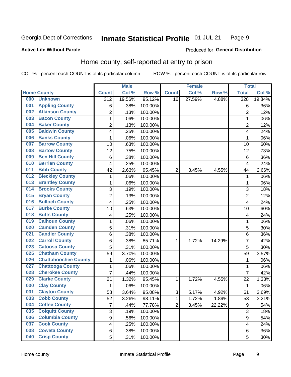#### Inmate Statistical Profile 01-JUL-21 Page 9

### **Active Life Without Parole**

### Produced for General Distribution

## Home county, self-reported at entry to prison

COL % - percent each COUNT is of its particular column

|     |                             |                         | <b>Male</b> |         |                | <b>Female</b> |        | <b>Total</b>     |        |
|-----|-----------------------------|-------------------------|-------------|---------|----------------|---------------|--------|------------------|--------|
|     | <b>Home County</b>          | <b>Count</b>            | Col %       | Row %   | <b>Count</b>   | Col %         | Row %  | <b>Total</b>     | Col %  |
| 000 | <b>Unknown</b>              | $\overline{312}$        | 19.56%      | 95.12%  | 16             | 27.59%        | 4.88%  | 328              | 19.84% |
| 001 | <b>Appling County</b>       | 6                       | .38%        | 100.00% |                |               |        | 6                | .36%   |
| 002 | <b>Atkinson County</b>      | $\overline{2}$          | .13%        | 100.00% |                |               |        | $\overline{2}$   | .12%   |
| 003 | <b>Bacon County</b>         | $\mathbf 1$             | .06%        | 100.00% |                |               |        | 1                | .06%   |
| 004 | <b>Baker County</b>         | $\overline{2}$          | .13%        | 100.00% |                |               |        | $\overline{2}$   | .12%   |
| 005 | <b>Baldwin County</b>       | 4                       | .25%        | 100.00% |                |               |        | 4                | .24%   |
| 006 | <b>Banks County</b>         | $\mathbf{1}$            | .06%        | 100.00% |                |               |        | 1                | .06%   |
| 007 | <b>Barrow County</b>        | 10                      | .63%        | 100.00% |                |               |        | 10               | .60%   |
| 008 | <b>Bartow County</b>        | 12                      | .75%        | 100.00% |                |               |        | 12               | .73%   |
| 009 | <b>Ben Hill County</b>      | 6                       | .38%        | 100.00% |                |               |        | 6                | .36%   |
| 010 | <b>Berrien County</b>       | 4                       | .25%        | 100.00% |                |               |        | $\overline{4}$   | .24%   |
| 011 | <b>Bibb County</b>          | 42                      | 2.63%       | 95.45%  | $\overline{2}$ | 3.45%         | 4.55%  | 44               | 2.66%  |
| 012 | <b>Bleckley County</b>      | $\mathbf{1}$            | .06%        | 100.00% |                |               |        | 1                | .06%   |
| 013 | <b>Brantley County</b>      | $\mathbf 1$             | .06%        | 100.00% |                |               |        | 1                | .06%   |
| 014 | <b>Brooks County</b>        | 3                       | .19%        | 100.00% |                |               |        | 3                | .18%   |
| 015 | <b>Bryan County</b>         | $\overline{2}$          | .13%        | 100.00% |                |               |        | $\overline{2}$   | .12%   |
| 016 | <b>Bulloch County</b>       | 4                       | .25%        | 100.00% |                |               |        | $\overline{4}$   | .24%   |
| 017 | <b>Burke County</b>         | 10                      | .63%        | 100.00% |                |               |        | 10               | .60%   |
| 018 | <b>Butts County</b>         | 4                       | .25%        | 100.00% |                |               |        | 4                | .24%   |
| 019 | <b>Calhoun County</b>       | $\mathbf 1$             | .06%        | 100.00% |                |               |        | 1                | .06%   |
| 020 | <b>Camden County</b>        | 5                       | .31%        | 100.00% |                |               |        | 5                | .30%   |
| 021 | <b>Candler County</b>       | 6                       | .38%        | 100.00% |                |               |        | 6                | .36%   |
| 022 | <b>Carroll County</b>       | 6                       | .38%        | 85.71%  | 1              | 1.72%         | 14.29% | 7                | .42%   |
| 023 | <b>Catoosa County</b>       | 5                       | .31%        | 100.00% |                |               |        | 5                | .30%   |
| 025 | <b>Chatham County</b>       | 59                      | 3.70%       | 100.00% |                |               |        | 59               | 3.57%  |
| 026 | <b>Chattahoochee County</b> | $\mathbf 1$             | .06%        | 100.00% |                |               |        | 1                | .06%   |
| 027 | <b>Chattooga County</b>     | $\mathbf 1$             | .06%        | 100.00% |                |               |        | 1                | .06%   |
| 028 | <b>Cherokee County</b>      | $\overline{7}$          | .44%        | 100.00% |                |               |        | $\overline{7}$   | .42%   |
| 029 | <b>Clarke County</b>        | 21                      | 1.32%       | 95.45%  | 1              | 1.72%         | 4.55%  | 22               | 1.33%  |
| 030 | <b>Clay County</b>          | 1                       | .06%        | 100.00% |                |               |        | $\mathbf 1$      | .06%   |
| 031 | <b>Clayton County</b>       | 58                      | 3.64%       | 95.08%  | $\mathsf 3$    | 5.17%         | 4.92%  | 61               | 3.69%  |
| 033 | <b>Cobb County</b>          | 52                      | 3.26%       | 98.11%  | 1              | 1.72%         | 1.89%  | 53               | 3.21%  |
| 034 | <b>Coffee County</b>        | $\overline{7}$          | .44%        | 77.78%  | $\overline{2}$ | 3.45%         | 22.22% | $\boldsymbol{9}$ | .54%   |
| 035 | <b>Colquitt County</b>      | 3                       | .19%        | 100.00% |                |               |        | $\overline{3}$   | .18%   |
| 036 | <b>Columbia County</b>      | $\overline{9}$          | .56%        | 100.00% |                |               |        | 9                | .54%   |
| 037 | <b>Cook County</b>          | $\overline{\mathbf{4}}$ | .25%        | 100.00% |                |               |        | 4                | .24%   |
| 038 | <b>Coweta County</b>        | 6                       | .38%        | 100.00% |                |               |        | 6                | .36%   |
| 040 | <b>Crisp County</b>         | 5                       | .31%        | 100.00% |                |               |        | 5                | .30%   |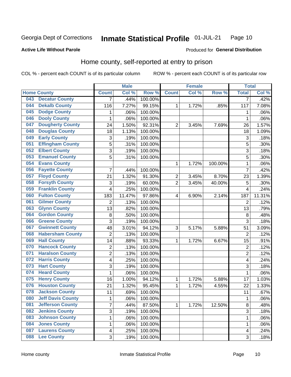#### Inmate Statistical Profile 01-JUL-21 Page 10

**Active Life Without Parole** 

#### Produced for General Distribution

## Home county, self-reported at entry to prison

COL % - percent each COUNT is of its particular column

|     |                          |                           | <b>Male</b> |         |                  | <b>Female</b> |         | <b>Total</b>            |        |
|-----|--------------------------|---------------------------|-------------|---------|------------------|---------------|---------|-------------------------|--------|
|     | <b>Home County</b>       | <b>Count</b>              | Col %       | Row %   | <b>Count</b>     | Col %         | Row %   | <b>Total</b>            | Col %  |
| 043 | <b>Decatur County</b>    | $\overline{7}$            | .44%        | 100.00% |                  |               |         | $\overline{7}$          | .42%   |
| 044 | <b>Dekalb County</b>     | 116                       | 7.27%       | 99.15%  | 1                | 1.72%         | .85%    | 117                     | 7.08%  |
| 045 | <b>Dodge County</b>      | $\mathbf 1$               | .06%        | 100.00% |                  |               |         | 1                       | .06%   |
| 046 | <b>Dooly County</b>      | 1                         | .06%        | 100.00% |                  |               |         | 1                       | .06%   |
| 047 | <b>Dougherty County</b>  | 24                        | 1.50%       | 92.31%  | $\overline{2}$   | 3.45%         | 7.69%   | 26                      | 1.57%  |
| 048 | <b>Douglas County</b>    | 18                        | 1.13%       | 100.00% |                  |               |         | 18                      | 1.09%  |
| 049 | <b>Early County</b>      | $\ensuremath{\mathsf{3}}$ | .19%        | 100.00% |                  |               |         | 3                       | .18%   |
| 051 | <b>Effingham County</b>  | 5                         | .31%        | 100.00% |                  |               |         | 5                       | .30%   |
| 052 | <b>Elbert County</b>     | $\mathfrak{S}$            | .19%        | 100.00% |                  |               |         | 3                       | .18%   |
| 053 | <b>Emanuel County</b>    | 5                         | .31%        | 100.00% |                  |               |         | 5                       | .30%   |
| 054 | <b>Evans County</b>      |                           |             |         | 1                | 1.72%         | 100.00% | 1                       | .06%   |
| 056 | <b>Fayette County</b>    | 7                         | .44%        | 100.00% |                  |               |         | $\overline{7}$          | .42%   |
| 057 | <b>Floyd County</b>      | 21                        | 1.32%       | 91.30%  | $\boldsymbol{2}$ | 3.45%         | 8.70%   | 23                      | 1.39%  |
| 058 | <b>Forsyth County</b>    | $\ensuremath{\mathsf{3}}$ | .19%        | 60.00%  | $\overline{2}$   | 3.45%         | 40.00%  | 5                       | .30%   |
| 059 | <b>Franklin County</b>   | 4                         | .25%        | 100.00% |                  |               |         | $\overline{4}$          | .24%   |
| 060 | <b>Fulton County</b>     | 183                       | 11.47%      | 97.86%  | 4                | 6.90%         | 2.14%   | 187                     | 11.31% |
| 061 | <b>Gilmer County</b>     | 2                         | .13%        | 100.00% |                  |               |         | $\overline{2}$          | .12%   |
| 063 | <b>Glynn County</b>      | 13                        | .82%        | 100.00% |                  |               |         | 13                      | .79%   |
| 064 | <b>Gordon County</b>     | 8                         | .50%        | 100.00% |                  |               |         | 8                       | .48%   |
| 066 | <b>Greene County</b>     | 3                         | .19%        | 100.00% |                  |               |         | 3                       | .18%   |
| 067 | <b>Gwinnett County</b>   | 48                        | 3.01%       | 94.12%  | 3                | 5.17%         | 5.88%   | 51                      | 3.09%  |
| 068 | <b>Habersham County</b>  | $\overline{2}$            | .13%        | 100.00% |                  |               |         | $\overline{2}$          | .12%   |
| 069 | <b>Hall County</b>       | 14                        | .88%        | 93.33%  | 1                | 1.72%         | 6.67%   | 15                      | .91%   |
| 070 | <b>Hancock County</b>    | $\mathbf 2$               | .13%        | 100.00% |                  |               |         | $\overline{2}$          | .12%   |
| 071 | <b>Haralson County</b>   | $\overline{c}$            | .13%        | 100.00% |                  |               |         | $\overline{2}$          | .12%   |
| 072 | <b>Harris County</b>     | 4                         | .25%        | 100.00% |                  |               |         | 4                       | .24%   |
| 073 | <b>Hart County</b>       | $\mathfrak{S}$            | .19%        | 100.00% |                  |               |         | 3                       | .18%   |
| 074 | <b>Heard County</b>      | $\mathbf 1$               | .06%        | 100.00% |                  |               |         | 1                       | .06%   |
| 075 | <b>Henry County</b>      | 16                        | 1.00%       | 94.12%  | 1                | 1.72%         | 5.88%   | 17                      | 1.03%  |
| 076 | <b>Houston County</b>    | 21                        | 1.32%       | 95.45%  | 1                | 1.72%         | 4.55%   | 22                      | 1.33%  |
| 078 | <b>Jackson County</b>    | 11                        | .69%        | 100.00% |                  |               |         | 11                      | .67%   |
| 080 | <b>Jeff Davis County</b> | 1                         | .06%        | 100.00% |                  |               |         | 1                       | .06%   |
| 081 | <b>Jefferson County</b>  | $\overline{7}$            | .44%        | 87.50%  | 1                | 1.72%         | 12.50%  | 8                       | .48%   |
| 082 | <b>Jenkins County</b>    | 3                         | .19%        | 100.00% |                  |               |         | 3                       | .18%   |
| 083 | <b>Johnson County</b>    | $\mathbf 1$               | .06%        | 100.00% |                  |               |         | 1                       | .06%   |
| 084 | <b>Jones County</b>      | $\mathbf 1$               | .06%        | 100.00% |                  |               |         | 1                       | .06%   |
| 087 | <b>Laurens County</b>    | 4                         | .25%        | 100.00% |                  |               |         | $\overline{\mathbf{4}}$ | .24%   |
| 088 | <b>Lee County</b>        | 3                         | .19%        | 100.00% |                  |               |         | 3                       | .18%   |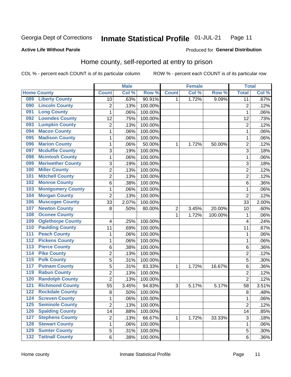#### Inmate Statistical Profile 01-JUL-21 Page 11

### **Active Life Without Parole**

## Produced for General Distribution

## Home county, self-reported at entry to prison

COL % - percent each COUNT is of its particular column

|                  |                          |                | <b>Male</b> |         |                  | <b>Female</b> |         | <b>Total</b>   |       |
|------------------|--------------------------|----------------|-------------|---------|------------------|---------------|---------|----------------|-------|
|                  | <b>Home County</b>       | <b>Count</b>   | Col %       | Row %   | <b>Count</b>     | Col %         | Row %   | <b>Total</b>   | Col % |
| 089              | <b>Liberty County</b>    | 10             | .63%        | 90.91%  | 1.               | 1.72%         | 9.09%   | 11             | .67%  |
| 090              | <b>Lincoln County</b>    | $\overline{2}$ | .13%        | 100.00% |                  |               |         | $\overline{2}$ | .12%  |
| 091              | <b>Long County</b>       | $\mathbf 1$    | .06%        | 100.00% |                  |               |         | 1              | .06%  |
| 092              | <b>Lowndes County</b>    | 12             | .75%        | 100.00% |                  |               |         | 12             | .73%  |
| 093              | <b>Lumpkin County</b>    | $\overline{2}$ | .13%        | 100.00% |                  |               |         | $\overline{2}$ | .12%  |
| 094              | <b>Macon County</b>      | 1              | .06%        | 100.00% |                  |               |         | 1              | .06%  |
| 095              | <b>Madison County</b>    | 1              | .06%        | 100.00% |                  |               |         | 1              | .06%  |
| 096              | <b>Marion County</b>     | 1              | .06%        | 50.00%  | 1                | 1.72%         | 50.00%  | $\overline{2}$ | .12%  |
| 097              | <b>Mcduffie County</b>   | 3              | .19%        | 100.00% |                  |               |         | 3              | .18%  |
| 098              | <b>Mcintosh County</b>   | $\mathbf 1$    | .06%        | 100.00% |                  |               |         | 1              | .06%  |
| 099              | <b>Meriwether County</b> | 3              | .19%        | 100.00% |                  |               |         | 3              | .18%  |
| 100              | <b>Miller County</b>     | $\overline{c}$ | .13%        | 100.00% |                  |               |         | $\overline{2}$ | .12%  |
| 101              | <b>Mitchell County</b>   | $\overline{2}$ | .13%        | 100.00% |                  |               |         | $\overline{2}$ | .12%  |
| 102              | <b>Monroe County</b>     | 6              | .38%        | 100.00% |                  |               |         | 6              | .36%  |
| 103              | <b>Montgomery County</b> | $\mathbf 1$    | .06%        | 100.00% |                  |               |         | 1              | .06%  |
| 104              | <b>Morgan County</b>     | $\overline{2}$ | .13%        | 100.00% |                  |               |         | $\overline{2}$ | .12%  |
| 106              | <b>Muscogee County</b>   | 33             | 2.07%       | 100.00% |                  |               |         | 33             | 2.00% |
| 107              | <b>Newton County</b>     | 8              | .50%        | 80.00%  | $\boldsymbol{2}$ | 3.45%         | 20.00%  | 10             | .60%  |
| 108              | <b>Oconee County</b>     |                |             |         | 1                | 1.72%         | 100.00% | 1              | .06%  |
| 109              | <b>Oglethorpe County</b> | 4              | .25%        | 100.00% |                  |               |         | 4              | .24%  |
| 110              | <b>Paulding County</b>   | 11             | .69%        | 100.00% |                  |               |         | 11             | .67%  |
| 111              | <b>Peach County</b>      | $\mathbf 1$    | .06%        | 100.00% |                  |               |         | 1              | .06%  |
| $\overline{112}$ | <b>Pickens County</b>    | 1              | .06%        | 100.00% |                  |               |         | 1              | .06%  |
| 113              | <b>Pierce County</b>     | 6              | .38%        | 100.00% |                  |               |         | 6              | .36%  |
| 114              | <b>Pike County</b>       | $\overline{2}$ | .13%        | 100.00% |                  |               |         | $\overline{2}$ | .12%  |
| $\overline{115}$ | <b>Polk County</b>       | 5              | .31%        | 100.00% |                  |               |         | 5              | .30%  |
| 117              | <b>Putnam County</b>     | 5              | .31%        | 83.33%  | 1                | 1.72%         | 16.67%  | 6              | .36%  |
| 119              | <b>Rabun County</b>      | $\overline{c}$ | .13%        | 100.00% |                  |               |         | $\overline{2}$ | .12%  |
| 120              | <b>Randolph County</b>   | $\overline{2}$ | .13%        | 100.00% |                  |               |         | $\overline{2}$ | .12%  |
| 121              | <b>Richmond County</b>   | 55             | 3.45%       | 94.83%  | 3                | 5.17%         | 5.17%   | 58             | 3.51% |
| 122              | <b>Rockdale County</b>   | 8              | .50%        | 100.00% |                  |               |         | 8              | .48%  |
| 124              | <b>Screven County</b>    | 1              | .06%        | 100.00% |                  |               |         | 1              | .06%  |
| 125              | <b>Seminole County</b>   | $\overline{2}$ | .13%        | 100.00% |                  |               |         | $\overline{2}$ | .12%  |
| 126              | <b>Spalding County</b>   | 14             | .88%        | 100.00% |                  |               |         | 14             | .85%  |
| 127              | <b>Stephens County</b>   | 2              | .13%        | 66.67%  | 1                | 1.72%         | 33.33%  | 3              | .18%  |
| 128              | <b>Stewart County</b>    | 1              | .06%        | 100.00% |                  |               |         | 1              | .06%  |
| 129              | <b>Sumter County</b>     | 5              | .31%        | 100.00% |                  |               |         | 5              | .30%  |
| 132              | <b>Tattnall County</b>   | 6              | .38%        | 100.00% |                  |               |         | 6              | .36%  |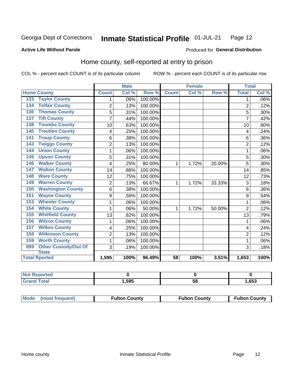#### Inmate Statistical Profile 01-JUL-21 Page 12

### **Active Life Without Parole**

## Produced for General Distribution

## Home county, self-reported at entry to prison

COL % - percent each COUNT is of its particular column

|                                    |                | <b>Male</b> |         |              | Female |        | <b>Total</b>   |         |
|------------------------------------|----------------|-------------|---------|--------------|--------|--------|----------------|---------|
| <b>Home County</b>                 | <b>Count</b>   | Col %       | Row %   | <b>Count</b> | Col %  | Row %  | <b>Total</b>   | Col %   |
| <b>Taylor County</b><br>133        | 1              | .06%        | 100.00% |              |        |        | 1              | $.06\%$ |
| <b>Telfair County</b><br>134       | 2              | .13%        | 100.00% |              |        |        | $\overline{2}$ | .12%    |
| <b>Thomas County</b><br>136        | 5              | .31%        | 100.00% |              |        |        | 5              | .30%    |
| <b>Tift County</b><br>137          | $\overline{7}$ | .44%        | 100.00% |              |        |        | 7              | .42%    |
| <b>Toombs County</b><br>138        | 10             | .63%        | 100.00% |              |        |        | 10             | .60%    |
| <b>Treutlen County</b><br>140      | 4              | .25%        | 100.00% |              |        |        | 4              | .24%    |
| <b>Troup County</b><br>141         | 6              | .38%        | 100.00% |              |        |        | 6              | .36%    |
| <b>Twiggs County</b><br>143        | $\overline{2}$ | .13%        | 100.00% |              |        |        | $\overline{2}$ | .12%    |
| <b>Union County</b><br>144         | 1              | .06%        | 100.00% |              |        |        | 1              | .06%    |
| <b>Upson County</b><br>145         | 5              | .31%        | 100.00% |              |        |        | 5              | .30%    |
| <b>Walker County</b><br>146        | 4              | .25%        | 80.00%  | 1            | 1.72%  | 20.00% | 5              | .30%    |
| <b>Walton County</b><br>147        | 14             | .88%        | 100.00% |              |        |        | 14             | .85%    |
| <b>Ware County</b><br>148          | 12             | .75%        | 100.00% |              |        |        | 12             | .73%    |
| <b>Warren County</b><br>149        | $\overline{c}$ | .13%        | 66.67%  | 1            | 1.72%  | 33.33% | 3              | .18%    |
| <b>Washington County</b><br>150    | 6              | .38%        | 100.00% |              |        |        | 6              | .36%    |
| <b>Wayne County</b><br>151         | 9              | .56%        | 100.00% |              |        |        | 9              | .54%    |
| <b>Wheeler County</b><br>153       | 1              | .06%        | 100.00% |              |        |        | 1              | .06%    |
| <b>White County</b><br>154         | 1              | .06%        | 50.00%  | 1            | 1.72%  | 50.00% | $\overline{2}$ | .12%    |
| <b>Whitfield County</b><br>155     | 13             | .82%        | 100.00% |              |        |        | 13             | .79%    |
| <b>Wilcox County</b><br>156        | 1              | .06%        | 100.00% |              |        |        | 1              | .06%    |
| <b>Wilkes County</b><br>157        | 4              | .25%        | 100.00% |              |        |        | 4              | .24%    |
| <b>Wilkinson County</b><br>158     | $\overline{2}$ | .13%        | 100.00% |              |        |        | $\overline{2}$ | .12%    |
| <b>Worth County</b><br>159         | $\mathbf{1}$   | .06%        | 100.00% |              |        |        | 1              | .06%    |
| <b>Other Custody/Out Of</b><br>999 | 3              | .19%        | 100.00% |              |        |        | 3              | .18%    |
| <b>State</b>                       |                |             |         |              |        |        |                |         |
| <b>Total Rported</b>               | 1,595          | 100%        | 96.49%  | 58           | 100%   | 3.51%  | 1,653          | 100%    |

| <b>rted</b> |      |          |      |
|-------------|------|----------|------|
|             | ,595 | --<br>ುಂ | ,653 |

| Mode (most frequent) | <b>Fulton County</b> | <b>Fulton County</b> | <b>Fulton County</b> |
|----------------------|----------------------|----------------------|----------------------|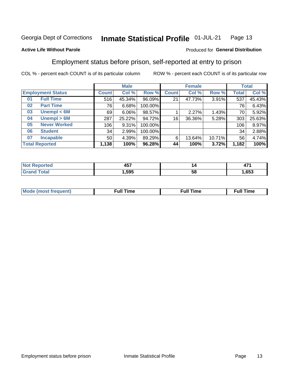#### Inmate Statistical Profile 01-JUL-21 Page 13

### **Active Life Without Parole**

### Produced for General Distribution

## Employment status before prison, self-reported at entry to prison

COL % - percent each COUNT is of its particular column

|                           |              | <b>Male</b> |         |              | <b>Female</b> |        |       | <b>Total</b> |
|---------------------------|--------------|-------------|---------|--------------|---------------|--------|-------|--------------|
| <b>Employment Status</b>  | <b>Count</b> | Col %       | Row %   | <b>Count</b> | Col %         | Row %  | Total | Col %        |
| <b>Full Time</b><br>01    | 516          | 45.34%      | 96.09%  | 21           | 47.73%        | 3.91%  | 537   | 45.43%       |
| <b>Part Time</b><br>02    | 76           | 6.68%       | 100.00% |              |               |        | 76    | 6.43%        |
| Unempl $<$ 6M<br>03       | 69           | $6.06\%$    | 98.57%  |              | 2.27%         | 1.43%  | 70    | 5.92%        |
| Unempl $> 6M$<br>04       | 287          | 25.22%      | 94.72%  | 16           | 36.36%        | 5.28%  | 303   | 25.63%       |
| <b>Never Worked</b><br>05 | 106          | 9.31%       | 100.00% |              |               |        | 106   | 8.97%        |
| <b>Student</b><br>06      | 34           | 2.99%       | 100.00% |              |               |        | 34    | 2.88%        |
| <b>Incapable</b><br>07    | 50           | 4.39%       | 89.29%  | 6            | 13.64%        | 10.71% | 56    | 4.74%        |
| <b>Total Reported</b>     | 1,138        | 100%        | 96.28%  | 44           | 100%          | 3.72%  | 1,182 | 100%         |

| .<br>$-$ | n  | $\overline{\phantom{0}}$<br>o<br>71 L |
|----------|----|---------------------------------------|
| .595     | 58 | .653                                  |

| Mc | ∙u∥<br>----<br>ıme | ίuΙ<br>Πmε |
|----|--------------------|------------|
|    |                    |            |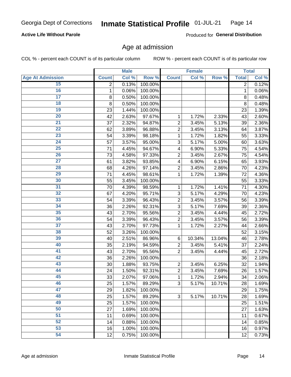### **Active Life Without Parole**

Produced for General Distribution

## Age at admission

COL % - percent each COUNT is of its particular column

|                         |              | <b>Male</b> |         |                | <b>Female</b> |        |                | <b>Total</b> |
|-------------------------|--------------|-------------|---------|----------------|---------------|--------|----------------|--------------|
| <b>Age At Admission</b> | <b>Count</b> | Col %       | Row %   | <b>Count</b>   | Col %         | Row %  | <b>Total</b>   | Col %        |
| 15                      | 2            | 0.13%       | 100.00% |                |               |        | $\overline{2}$ | 0.12%        |
| 16                      | $\mathbf 1$  | 0.06%       | 100.00% |                |               |        | $\mathbf{1}$   | 0.06%        |
| $\overline{17}$         | 8            | 0.50%       | 100.00% |                |               |        | 8              | 0.48%        |
| 18                      | 8            | 0.50%       | 100.00% |                |               |        | 8              | 0.48%        |
| 19                      | 23           | 1.44%       | 100.00% |                |               |        | 23             | 1.39%        |
| $\overline{20}$         | 42           | 2.63%       | 97.67%  | 1              | 1.72%         | 2.33%  | 43             | 2.60%        |
| 21                      | 37           | 2.32%       | 94.87%  | $\overline{c}$ | 3.45%         | 5.13%  | 39             | 2.36%        |
| $\overline{22}$         | 62           | 3.89%       | 96.88%  | $\overline{2}$ | 3.45%         | 3.13%  | 64             | 3.87%        |
| $\overline{23}$         | 54           | 3.39%       | 98.18%  | 1              | 1.72%         | 1.82%  | 55             | 3.33%        |
| $\overline{24}$         | 57           | 3.57%       | 95.00%  | 3              | 5.17%         | 5.00%  | 60             | 3.63%        |
| $\overline{25}$         | 71           | 4.45%       | 94.67%  | 4              | 6.90%         | 5.33%  | 75             | 4.54%        |
| 26                      | 73           | 4.58%       | 97.33%  | $\overline{2}$ | 3.45%         | 2.67%  | 75             | 4.54%        |
| $\overline{27}$         | 61           | 3.82%       | 93.85%  | 4              | 6.90%         | 6.15%  | 65             | 3.93%        |
| 28                      | 68           | 4.26%       | 97.14%  | $\overline{2}$ | 3.45%         | 2.86%  | 70             | 4.23%        |
| 29                      | 71           | 4.45%       | 98.61%  | 1              | 1.72%         | 1.39%  | 72             | 4.36%        |
| 30                      | 55           | 3.45%       | 100.00% |                |               |        | 55             | 3.33%        |
| 31                      | 70           | 4.39%       | 98.59%  | 1              | 1.72%         | 1.41%  | 71             | 4.30%        |
| $\overline{32}$         | 67           | 4.20%       | 95.71%  | 3              | 5.17%         | 4.29%  | 70             | 4.23%        |
| 33                      | 54           | 3.39%       | 96.43%  | $\overline{2}$ | 3.45%         | 3.57%  | 56             | 3.39%        |
| $\overline{34}$         | 36           | 2.26%       | 92.31%  | 3              | 5.17%         | 7.69%  | 39             | 2.36%        |
| 35                      | 43           | 2.70%       | 95.56%  | $\overline{c}$ | 3.45%         | 4.44%  | 45             | 2.72%        |
| 36                      | 54           | 3.39%       | 96.43%  | $\overline{2}$ | 3.45%         | 3.57%  | 56             | 3.39%        |
| $\overline{37}$         | 43           | 2.70%       | 97.73%  | 1              | 1.72%         | 2.27%  | 44             | 2.66%        |
| 38                      | 52           | 3.26%       | 100.00% |                |               |        | 52             | 3.15%        |
| 39                      | 40           | 2.51%       | 86.96%  | $\,6$          | 10.34%        | 13.04% | 46             | 2.78%        |
| 40                      | 35           | 2.19%       | 94.59%  | 2              | 3.45%         | 5.41%  | 37             | 2.24%        |
| 41                      | 43           | 2.70%       | 95.56%  | $\overline{2}$ | 3.45%         | 4.44%  | 45             | 2.72%        |
| 42                      | 36           | 2.26%       | 100.00% |                |               |        | 36             | 2.18%        |
| 43                      | 30           | 1.88%       | 93.75%  | $\overline{c}$ | 3.45%         | 6.25%  | 32             | 1.94%        |
| 44                      | 24           | 1.50%       | 92.31%  | $\overline{c}$ | 3.45%         | 7.69%  | 26             | 1.57%        |
| 45                      | 33           | 2.07%       | 97.06%  | $\mathbf{1}$   | 1.72%         | 2.94%  | 34             | 2.06%        |
| 46                      | 25           | 1.57%       | 89.29%  | 3              | 5.17%         | 10.71% | 28             | 1.69%        |
| 47                      | 29           | 1.82%       | 100.00% |                |               |        | 29             | 1.75%        |
| 48                      | 25           | 1.57%       | 89.29%  | 3              | 5.17%         | 10.71% | 28             | 1.69%        |
| 49                      | 25           | 1.57%       | 100.00% |                |               |        | 25             | 1.51%        |
| 50                      | 27           | 1.69%       | 100.00% |                |               |        | 27             | 1.63%        |
| $\overline{51}$         | 11           | 0.69%       | 100.00% |                |               |        | 11             | 0.67%        |
| $\overline{52}$         | 14           | 0.88%       | 100.00% |                |               |        | 14             | 0.85%        |
| 53                      | 16           | 1.00%       | 100.00% |                |               |        | 16             | 0.97%        |
| 54                      | 12           | 0.75%       | 100.00% |                |               |        | 12             | 0.73%        |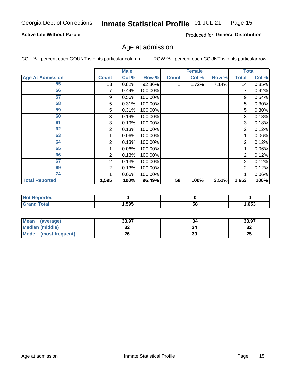### **Active Life Without Parole**

Produced for General Distribution

## Age at admission

COL % - percent each COUNT is of its particular column

|                         |              | <b>Male</b> |         |              | <b>Female</b> |       |                | <b>Total</b> |
|-------------------------|--------------|-------------|---------|--------------|---------------|-------|----------------|--------------|
| <b>Age At Admission</b> | <b>Count</b> | Col %       | Row %   | <b>Count</b> | Col %         | Row % | <b>Total</b>   | Col %        |
| 55                      | 13           | 0.82%       | 92.86%  |              | 1.72%         | 7.14% | 14             | 0.85%        |
| 56                      |              | 0.44%       | 100.00% |              |               |       |                | 0.42%        |
| 57                      | 9            | 0.56%       | 100.00% |              |               |       | 9              | 0.54%        |
| 58                      | 5            | 0.31%       | 100.00% |              |               |       | 5              | 0.30%        |
| 59                      | 5            | 0.31%       | 100.00% |              |               |       | 5              | $0.30\%$     |
| 60                      | 3            | 0.19%       | 100.00% |              |               |       | 3              | 0.18%        |
| 61                      | 3            | 0.19%       | 100.00% |              |               |       | 3              | 0.18%        |
| 62                      | 2            | 0.13%       | 100.00% |              |               |       | 2              | 0.12%        |
| 63                      |              | 0.06%       | 100.00% |              |               |       |                | 0.06%        |
| 64                      | 2            | 0.13%       | 100.00% |              |               |       | 2              | 0.12%        |
| 65                      |              | 0.06%       | 100.00% |              |               |       |                | 0.06%        |
| 66                      | 2            | 0.13%       | 100.00% |              |               |       | 2              | 0.12%        |
| 67                      | 2            | 0.13%       | 100.00% |              |               |       | 2              | 0.12%        |
| 69                      | 2            | 0.13%       | 100.00% |              |               |       | $\overline{2}$ | 0.12%        |
| 74                      |              | 0.06%       | 100.00% |              |               |       |                | 0.06%        |
| <b>Total Reported</b>   | 1,595        | 100%        | 96.49%  | 58           | 100%          | 3.51% | 1,653          | 100%         |

| <b>Not Reported</b> |      |    |      |
|---------------------|------|----|------|
| <b>cotal</b>        | ,595 | Эō | .653 |

| <b>Mean</b><br>(average) | 33.97    | 54 | 33.97   |
|--------------------------|----------|----|---------|
| <b>Median (middle)</b>   | ^^<br>JŁ |    | …<br>34 |
| Mode<br>(most frequent)  | 26       | 39 | 25      |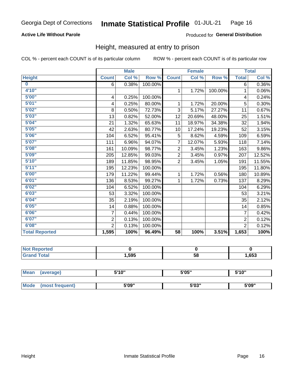### **Active Life Without Parole**

### Produced for General Distribution

## Height, measured at entry to prison

COL % - percent each COUNT is of its particular column

|                       |                         | <b>Male</b> |         |                 | <b>Female</b> |         |                | <b>Total</b> |
|-----------------------|-------------------------|-------------|---------|-----------------|---------------|---------|----------------|--------------|
| <b>Height</b>         | <b>Count</b>            | Col %       | Row %   | <b>Count</b>    | Col %         | Row %   | <b>Total</b>   | Col %        |
| $\bf{0}$              | 6                       | 0.38%       | 100.00% |                 |               |         | 6              | $0.36\%$     |
| 4'10''                |                         |             |         | $\mathbf{1}$    | 1.72%         | 100.00% | 1              | 0.06%        |
| 5'00''                | $\overline{\mathbf{4}}$ | 0.25%       | 100.00% |                 |               |         | 4              | 0.24%        |
| 5'01"                 | 4                       | 0.25%       | 80.00%  | 1               | 1.72%         | 20.00%  | 5              | 0.30%        |
| 5'02"                 | 8                       | 0.50%       | 72.73%  | 3               | 5.17%         | 27.27%  | 11             | 0.67%        |
| 5'03''                | 13                      | 0.82%       | 52.00%  | 12              | 20.69%        | 48.00%  | 25             | 1.51%        |
| 5'04"                 | 21                      | 1.32%       | 65.63%  | 11              | 18.97%        | 34.38%  | 32             | 1.94%        |
| 5'05"                 | 42                      | 2.63%       | 80.77%  | 10              | 17.24%        | 19.23%  | 52             | 3.15%        |
| 5'06''                | 104                     | 6.52%       | 95.41%  | 5               | 8.62%         | 4.59%   | 109            | 6.59%        |
| 5'07''                | 111                     | 6.96%       | 94.07%  | 7               | 12.07%        | 5.93%   | 118            | 7.14%        |
| 5'08''                | 161                     | 10.09%      | 98.77%  | $\overline{2}$  | 3.45%         | 1.23%   | 163            | $9.86\%$     |
| 5'09''                | 205                     | 12.85%      | 99.03%  | $\overline{2}$  | 3.45%         | 0.97%   | 207            | 12.52%       |
| 5'10''                | 189                     | 11.85%      | 98.95%  | $\overline{2}$  | 3.45%         | 1.05%   | 191            | 11.55%       |
| 5'11''                | 195                     | 12.23%      | 100.00% |                 |               |         | 195            | 11.80%       |
| 6'00''                | 179                     | 11.22%      | 99.44%  | 1               | 1.72%         | 0.56%   | 180            | 10.89%       |
| 6'01''                | 136                     | 8.53%       | 99.27%  | 1.              | 1.72%         | 0.73%   | 137            | 8.29%        |
| 6'02"                 | 104                     | 6.52%       | 100.00% |                 |               |         | 104            | 6.29%        |
| 6'03''                | 53                      | 3.32%       | 100.00% |                 |               |         | 53             | 3.21%        |
| 6'04"                 | 35                      | 2.19%       | 100.00% |                 |               |         | 35             | 2.12%        |
| 6'05"                 | 14                      | 0.88%       | 100.00% |                 |               |         | 14             | 0.85%        |
| 6'06''                | 7                       | 0.44%       | 100.00% |                 |               |         | $\overline{7}$ | 0.42%        |
| 6'07''                | $\overline{2}$          | 0.13%       | 100.00% |                 |               |         | $\overline{2}$ | 0.12%        |
| 6'08''                | $\overline{2}$          | 0.13%       | 100.00% |                 |               |         | $\overline{2}$ | 0.12%        |
| <b>Total Reported</b> | 1,595                   | 100%        | 96.49%  | $\overline{58}$ | 100%          | 3.51%   | 1,653          | 100%         |

| <b>eported</b> |      |    |      |
|----------------|------|----|------|
| <b>otal</b>    | ,595 | 58 | ,653 |

| <b>Mean</b> | (average)       | 5'10" | 5'05" | 5'10'' |  |
|-------------|-----------------|-------|-------|--------|--|
|             |                 |       |       |        |  |
| <b>Mode</b> | (most frequent) | 5'09" | 5'03" | 5'09"  |  |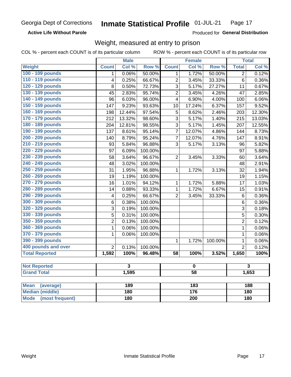**Active Life Without Parole** 

Produced for General Distribution

## Weight, measured at entry to prison

COL % - percent each COUNT is of its particular column

ROW % - percent each COUNT is of its particular row

|                          |                         | <b>Male</b>             |                  |                         | <b>Female</b>    |                  |                | <b>Total</b>            |  |
|--------------------------|-------------------------|-------------------------|------------------|-------------------------|------------------|------------------|----------------|-------------------------|--|
| <b>Weight</b>            | <b>Count</b>            | Col %                   | Row <sup>%</sup> | <b>Count</b>            | Col %            | Row <sup>%</sup> | <b>Total</b>   | Col %                   |  |
| 100 - 109 pounds         | $\mathbf 1$             | 0.06%                   | 50.00%           | 1                       | 1.72%            | 50.00%           | $\overline{2}$ | 0.12%                   |  |
| 110 - 119 pounds         | 4                       | 0.25%                   | 66.67%           | $\overline{2}$          | 3.45%            | 33.33%           | 6              | 0.36%                   |  |
| 120 - 129 pounds         | 8                       | 0.50%                   | 72.73%           | 3                       | 5.17%            | 27.27%           | 11             | 0.67%                   |  |
| 130 - 139 pounds         | 45                      | 2.83%                   | 95.74%           | $\overline{2}$          | 3.45%            | 4.26%            | 47             | 2.85%                   |  |
| 140 - 149 pounds         | 96                      | 6.03%                   | 96.00%           | 4                       | 6.90%            | 4.00%            | 100            | 6.06%                   |  |
| 150 - 159 pounds         | 147                     | 9.23%                   | 93.63%           | 10                      | 17.24%           | 6.37%            | 157            | 9.52%                   |  |
| 160 - 169 pounds         | 198                     | 12.44%                  | 97.54%           | 5                       | 8.62%            | 2.46%            | 203            | 12.30%                  |  |
| 170 - 179 pounds         | 212                     | 13.32%                  | 98.60%           | 3                       | 5.17%            | 1.40%            | 215            | 13.03%                  |  |
| 180 - 189 pounds         | 204                     | 12.81%                  | 98.55%           | 3                       | 5.17%            | 1.45%            | 207            | 12.55%                  |  |
| 190 - 199 pounds         | 137                     | 8.61%                   | 95.14%           | $\overline{7}$          | 12.07%           | 4.86%            | 144            | 8.73%                   |  |
| 200 - 209 pounds         | 140                     | 8.79%                   | 95.24%           | $\overline{7}$          | 12.07%           | 4.76%            | 147            | 8.91%                   |  |
| 210 - 219 pounds         | 93                      | 5.84%                   | 96.88%           | 3                       | 5.17%            | 3.13%            | 96             | 5.82%                   |  |
| 220 - 229 pounds         | 97                      | 6.09%                   | 100.00%          |                         |                  |                  | 97             | 5.88%                   |  |
| 230 - 239 pounds         | 58                      | 3.64%                   | 96.67%           | $\overline{2}$          | 3.45%            | 3.33%            | 60             | 3.64%                   |  |
| 240 - 249 pounds         | 48                      | 3.02%                   | 100.00%          |                         |                  |                  | 48             | 2.91%                   |  |
| 250 - 259 pounds         | 31                      | 1.95%                   | 96.88%           | 1                       | 1.72%            | 3.13%            | 32             | 1.94%                   |  |
| 260 - 269 pounds         | 19                      | 1.19%                   | 100.00%          |                         |                  |                  | 19             | 1.15%                   |  |
| 270 - 279 pounds         | 16                      | 1.01%                   | 94.12%           | 1                       | 1.72%            | 5.88%            | 17             | 1.03%                   |  |
| 280 - 289 pounds         | 14                      | 0.88%                   | 93.33%           | $\mathbf 1$             | 1.72%            | 6.67%            | 15             | 0.91%                   |  |
| 290 - 299 pounds         | $\overline{\mathbf{4}}$ | 0.25%                   | 66.67%           | $\overline{2}$          | 3.45%            | 33.33%           | $\,6$          | 0.36%                   |  |
| 300 - 309 pounds         | 6                       | 0.38%                   | 100.00%          |                         |                  |                  | 6              | 0.36%                   |  |
| 320 - 329 pounds         | 3                       | 0.19%                   | 100.00%          |                         |                  |                  | 3              | 0.18%                   |  |
| 330 - 339 pounds         | $\overline{5}$          | 0.31%                   | 100.00%          |                         |                  |                  | 5              | 0.30%                   |  |
| 350 - 359 pounds         | $\overline{2}$          | 0.13%                   | 100.00%          |                         |                  |                  | $\overline{c}$ | 0.12%                   |  |
| 360 - 369 pounds         | $\mathbf 1$             | 0.06%                   | 100.00%          |                         |                  |                  | $\mathbf 1$    | 0.06%                   |  |
| 370 - 379 pounds         | 1                       | 0.06%                   | 100.00%          |                         |                  |                  | $\mathbf 1$    | 0.06%                   |  |
| 390 - 399 pounds         |                         |                         |                  | 1                       | 1.72%            | 100.00%          | $\mathbf 1$    | 0.06%                   |  |
| 400 pounds and over      | $\overline{2}$          | 0.13%                   | 100.00%          |                         |                  |                  | $\overline{2}$ | $\overline{0.12\%}$     |  |
| <b>Total Reported</b>    | 1,592                   | 100%                    | 96.48%           | $\overline{58}$         | 100%             | 3.52%            | 1,650          | 100%                    |  |
|                          |                         |                         |                  |                         |                  |                  |                |                         |  |
| <b>Not Reported</b>      |                         | $\overline{\mathbf{3}}$ |                  | $\overline{\mathbf{0}}$ |                  |                  |                | $\overline{\mathbf{3}}$ |  |
| <b>Grand Total</b>       |                         | 1,595                   |                  | $\overline{58}$         |                  |                  | 1,653          |                         |  |
|                          |                         |                         |                  |                         |                  |                  |                |                         |  |
| <b>Mean</b><br>(average) |                         | 189                     |                  |                         | $\overline{183}$ |                  |                | 188                     |  |
| <b>Median (middle)</b>   |                         | 180                     |                  | 176                     |                  |                  | 180            |                         |  |

**Mode** 

(most frequent)

 $\overline{200}$ 

 $\overline{180}$ 

 $180$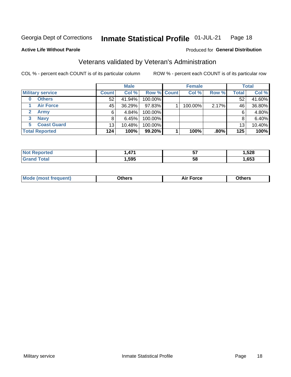#### Inmate Statistical Profile 01-JUL-21 Page 18

**Active Life Without Parole** 

### Produced for General Distribution

## Veterans validated by Veteran's Administration

COL % - percent each COUNT is of its particular column

|                               |              | <b>Male</b> |                    | <b>Female</b> |         |              | <b>Total</b> |
|-------------------------------|--------------|-------------|--------------------|---------------|---------|--------------|--------------|
| <b>Military service</b>       | <b>Count</b> | Col %       | <b>Row % Count</b> | Col %         | Row %   | <b>Total</b> | Col %        |
| <b>Others</b><br>0            | 52           | 41.94%      | 100.00%            |               |         | 52           | 41.60%       |
| <b>Air Force</b>              | 45           | 36.29%      | 97.83%             | 100.00%       | 2.17%   | 46           | 36.80%       |
| $\mathbf{2}^-$<br><b>Army</b> | 6            | 4.84%       | 100.00%            |               |         | 6            | 4.80%        |
| <b>Navy</b><br>3              | 8            | 6.45%       | 100.00%            |               |         | 8            | 6.40%        |
| <b>Coast Guard</b><br>5.      | 13           | 10.48%      | 100.00%            |               |         | 13           | 10.40%       |
| <b>Total Reported</b>         | 124          | 100%        | 99.20%             | 100%          | $.80\%$ | 125          | 100%         |

| TAL.   | A74  | --<br>JI. | <b>EOO</b><br>טגע,<br>__ |
|--------|------|-----------|--------------------------|
| $\sim$ | ,595 | 5٤        | ,653                     |

| Mo<br>m | ∖‡h∧rc<br>____ | $-0.002$<br>28 F T<br>UI CE | <b>Others</b><br>____ |
|---------|----------------|-----------------------------|-----------------------|
|         |                |                             |                       |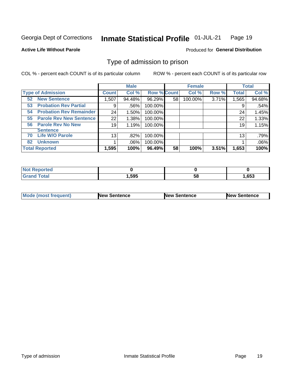#### Inmate Statistical Profile 01-JUL-21 Page 19

**Active Life Without Parole** 

Produced for General Distribution

## Type of admission to prison

COL % - percent each COUNT is of its particular column

|                                      |                 | <b>Male</b> |                    |    | <b>Female</b> |       |              | <b>Total</b> |
|--------------------------------------|-----------------|-------------|--------------------|----|---------------|-------|--------------|--------------|
| <b>Type of Admission</b>             | <b>Count</b>    | Col %       | <b>Row % Count</b> |    | Col %         | Row % | <b>Total</b> | Col %        |
| <b>New Sentence</b><br>52            | 1,507           | 94.48%      | 96.29%             | 58 | 100.00%       | 3.71% | 1,565        | 94.68%       |
| <b>Probation Rev Partial</b><br>53   | 9               | .56%        | 100.00%            |    |               |       | 9            | .54%         |
| <b>Probation Rev Remainder</b><br>54 | 24              | 1.50%       | 100.00%            |    |               |       | 24           | 1.45%        |
| <b>Parole Rev New Sentence</b><br>55 | 22              | 1.38%       | 100.00%            |    |               |       | 22           | 1.33%        |
| <b>Parole Rev No New</b><br>56       | 19              | 1.19%       | 100.00%            |    |               |       | 19           | 1.15%        |
| <b>Sentence</b>                      |                 |             |                    |    |               |       |              |              |
| <b>Life W/O Parole</b><br>70         | 13 <sub>1</sub> | .82%        | 100.00%            |    |               |       | 13           | .79%         |
| <b>Unknown</b><br>82                 |                 | $.06\%$     | 100.00%            |    |               |       |              | .06%         |
| <b>Total Reported</b>                | 1,595           | 100%        | 96.49%             | 58 | 100%          | 3.51% | 1,653        | 100%         |

| Reported<br><b>NOT</b>       |       |           |      |
|------------------------------|-------|-----------|------|
| <b>c</b> otal<br><b>Gran</b> | .,595 | - -<br>วง | .653 |

| <b>Mode (most frequent)</b> | <b>New Sentence</b> | <b>New Sentence</b> | <b>New Sentence</b> |
|-----------------------------|---------------------|---------------------|---------------------|
|                             |                     |                     |                     |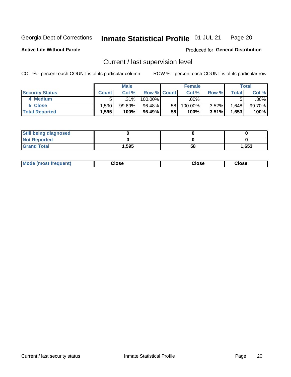#### Inmate Statistical Profile 01-JUL-21 Page 20

**Active Life Without Parole** 

### Produced for General Distribution

## Current / last supervision level

COL % - percent each COUNT is of its particular column

|                        |                   | <b>Male</b> |                    |    | <b>Female</b> |          |       | <b>Total</b> |
|------------------------|-------------------|-------------|--------------------|----|---------------|----------|-------|--------------|
| <b>Security Status</b> | <b>Count</b>      | Col%        | <b>Row % Count</b> |    | Col %         | Row %    | Total | Col %        |
| 4 Medium               |                   | .31%        | 100.00%            |    | .00%          |          |       | $.30\%$      |
| 5 Close                | .590              | $99.69\%$   | 96.48%             | 58 | 100.00%       | $3.52\%$ | 1,648 | 99.70%       |
| <b>Total Reported</b>  | $.595$ $^{\circ}$ | 100%        | 96.49%             | 58 | 100%          | 3.51%    | 1,653 | 100%         |

| <b>Still being diagnosed</b> |       |    |       |
|------------------------------|-------|----|-------|
| <b>Not Reported</b>          |       |    |       |
| <b>Grand Total</b>           | 1,595 | 58 | 1,653 |

| <b>AhoM</b><br>rreauent) | <b>Close</b> | Close | Close |
|--------------------------|--------------|-------|-------|
|                          |              |       |       |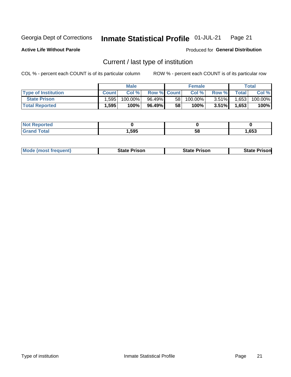#### Inmate Statistical Profile 01-JUL-21 Page 21

**Active Life Without Parole** 

Produced for General Distribution

## Current / last type of institution

COL % - percent each COUNT is of its particular column

|                            |              | <b>Male</b> |                    |    | <b>Female</b> |          |              | Total   |
|----------------------------|--------------|-------------|--------------------|----|---------------|----------|--------------|---------|
| <b>Type of Institution</b> | <b>Count</b> | Col %       | <b>Row % Count</b> |    | Col %         | Row %    | <b>Total</b> | Col %   |
| <b>State Prison</b>        | .595         | 100.00%」    | 96.49%             | 58 | $100.00\%$    | $3.51\%$ | 1,653        | 100.00% |
| <b>Total Reported</b>      | 1,595        | 100%        | 96.49%             | 58 | 100%          | $3.51\%$ | 1,653        | 100%    |

| <b>eported</b> |      |    |      |
|----------------|------|----|------|
|                | ,595 | ວເ | ,653 |

| <b>Mode (most frequent)</b> | State Prison | <b>State Prison</b> | State<br>⊦ Prisonl |
|-----------------------------|--------------|---------------------|--------------------|
|                             |              |                     |                    |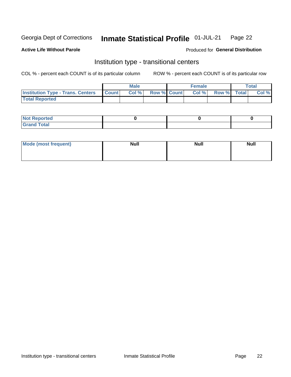#### Inmate Statistical Profile 01-JUL-21 Page 22

#### **Active Life Without Parole**

### Produced for General Distribution

## Institution type - transitional centers

COL % - percent each COUNT is of its particular column

|                                                | Male  |                    | <b>Female</b> |                   | Total |
|------------------------------------------------|-------|--------------------|---------------|-------------------|-------|
| <b>Institution Type - Trans. Centers Count</b> | Col % | <b>Row % Count</b> |               | Col % Row % Total | Col % |
| <b>Total Reported</b>                          |       |                    |               |                   |       |

| <b>Reported</b><br><b>NOT</b><br>$\sim$            |  |  |
|----------------------------------------------------|--|--|
| $f$ $f \circ f \circ f$<br>$C = 1$<br><b>TULAI</b> |  |  |

| Mode (most frequent) | <b>Null</b> | <b>Null</b> | <b>Null</b> |
|----------------------|-------------|-------------|-------------|
|                      |             |             |             |
|                      |             |             |             |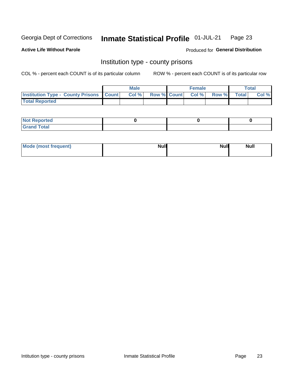#### Inmate Statistical Profile 01-JUL-21 Page 23

**Active Life Without Parole** 

**Produced for General Distribution** 

## Institution type - county prisons

COL % - percent each COUNT is of its particular column

|                                                    | <b>Male</b> |       |  | <b>Female</b> |                          |             | <b>Total</b> |       |
|----------------------------------------------------|-------------|-------|--|---------------|--------------------------|-------------|--------------|-------|
| <b>Institution Type - County Prisons   Count  </b> |             | Col % |  |               | <b>Row % Count Col %</b> | Row % Total |              | Col % |
| <b>Total Reported</b>                              |             |       |  |               |                          |             |              |       |

| <b>Not</b><br>: Reported<br>$\cdots$ |  |  |
|--------------------------------------|--|--|
| <b>Total</b><br>---                  |  |  |

| Mode (most frequent) | <b>Null</b> | <b>Null</b><br><b>Null</b> |
|----------------------|-------------|----------------------------|
|                      |             |                            |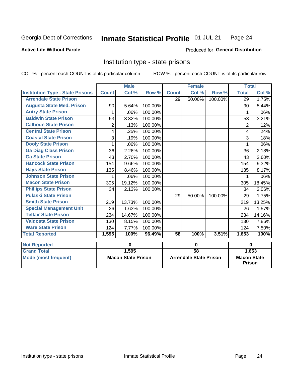#### Inmate Statistical Profile 01-JUL-21 Page 24

### **Active Life Without Parole**

### Produced for General Distribution

## Institution type - state prisons

COL % - percent each COUNT is of its particular column

|                                         |                           | <b>Male</b> |             | <b>Female</b>                 |        |             | <b>Total</b>                        |         |
|-----------------------------------------|---------------------------|-------------|-------------|-------------------------------|--------|-------------|-------------------------------------|---------|
| <b>Institution Type - State Prisons</b> | <b>Count</b>              | Col %       | Row %       | <b>Count</b>                  | Col %  | Row %       | <b>Total</b>                        | Col %   |
| <b>Arrendale State Prison</b>           |                           |             |             | 29                            | 50.00% | 100.00%     | 29                                  | 1.75%   |
| <b>Augusta State Med. Prison</b>        | 90                        | 5.64%       | 100.00%     |                               |        |             | 90                                  | 5.44%   |
| <b>Autry State Prison</b>               | 1                         | .06%        | 100.00%     |                               |        |             | 1                                   | $.06\%$ |
| <b>Baldwin State Prison</b>             | 53                        | 3.32%       | 100.00%     |                               |        |             | 53                                  | 3.21%   |
| <b>Calhoun State Prison</b>             | $\overline{2}$            | .13%        | 100.00%     |                               |        |             | $\overline{2}$                      | .12%    |
| <b>Central State Prison</b>             | 4                         | .25%        | 100.00%     |                               |        |             | 4                                   | .24%    |
| <b>Coastal State Prison</b>             | 3                         | .19%        | 100.00%     |                               |        |             | 3                                   | .18%    |
| <b>Dooly State Prison</b>               | 1                         | .06%        | 100.00%     |                               |        |             |                                     | .06%    |
| <b>Ga Diag Class Prison</b>             | 36                        | 2.26%       | 100.00%     |                               |        |             | 36                                  | 2.18%   |
| <b>Ga State Prison</b>                  | 43                        | 2.70%       | 100.00%     |                               |        |             | 43                                  | 2.60%   |
| <b>Hancock State Prison</b>             | 154                       | 9.66%       | 100.00%     |                               |        |             | 154                                 | 9.32%   |
| <b>Hays State Prison</b>                | 135                       | 8.46%       | 100.00%     |                               |        |             | 135                                 | 8.17%   |
| <b>Johnson State Prison</b>             | 1                         | .06%        | 100.00%     |                               |        |             | 1                                   | $.06\%$ |
| <b>Macon State Prison</b>               | 305                       | 19.12%      | 100.00%     |                               |        |             | 305                                 | 18.45%  |
| <b>Phillips State Prison</b>            | 34                        | 2.13%       | 100.00%     |                               |        |             | 34                                  | 2.06%   |
| <b>Pulaski State Prison</b>             |                           |             |             | 29                            | 50.00% | 100.00%     | 29                                  | 1.75%   |
| <b>Smith State Prison</b>               | 219                       | 13.73%      | 100.00%     |                               |        |             | 219                                 | 13.25%  |
| <b>Special Management Unit</b>          | 26                        | 1.63%       | 100.00%     |                               |        |             | 26                                  | 1.57%   |
| <b>Telfair State Prison</b>             | 234                       | 14.67%      | 100.00%     |                               |        |             | 234                                 | 14.16%  |
| <b>Valdosta State Prison</b>            | 130                       | 8.15%       | 100.00%     |                               |        |             | 130                                 | 7.86%   |
| <b>Ware State Prison</b>                | 124                       | 7.77%       | 100.00%     |                               |        |             | 124                                 | 7.50%   |
| <b>Total Reported</b>                   | 1,595                     | 100%        | 96.49%      | 58                            | 100%   | 3.51%       | 1,653                               | 100%    |
| <b>Not Reported</b>                     | 0                         |             | $\mathbf 0$ |                               |        | $\mathbf 0$ |                                     |         |
| <b>Grand Total</b>                      |                           | 1,595       |             | $\overline{58}$               |        |             |                                     | 1,653   |
| <b>Mode (most frequent)</b>             | <b>Macon State Prison</b> |             |             | <b>Arrendale State Prison</b> |        |             | <b>Macon State</b><br><b>Prison</b> |         |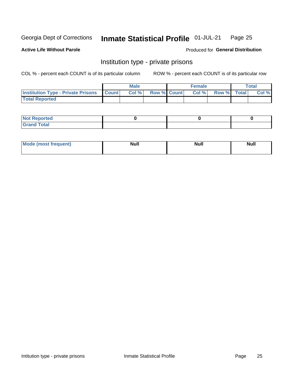#### Inmate Statistical Profile 01-JUL-21 Page 25

**Active Life Without Parole** 

Produced for General Distribution

## Institution type - private prisons

COL % - percent each COUNT is of its particular column

|                                                 | <b>Male</b> |      |                    | <b>Female</b> |       |             | Total |       |
|-------------------------------------------------|-------------|------|--------------------|---------------|-------|-------------|-------|-------|
| <b>Institution Type - Private Prisons Count</b> |             | Col% | <b>Row % Count</b> |               | Col % | Row % Total |       | Col % |
| <b>Total Reported</b>                           |             |      |                    |               |       |             |       |       |

| <b>Not Reported</b>         |  |  |
|-----------------------------|--|--|
| <b>Total</b><br><b>C</b> re |  |  |

| <b>Mo</b><br>frequent) | <b>Null</b> | <b>Null</b> | . . I *<br><b>IVUII</b> |
|------------------------|-------------|-------------|-------------------------|
|                        |             |             |                         |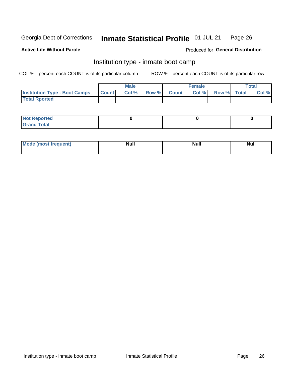#### Inmate Statistical Profile 01-JUL-21 Page 26

### **Active Life Without Parole**

### Produced for General Distribution

## Institution type - inmate boot camp

COL % - percent each COUNT is of its particular column

|                                      | <b>Male</b>  |       |               |              | <b>Female</b> | <b>Total</b> |  |       |
|--------------------------------------|--------------|-------|---------------|--------------|---------------|--------------|--|-------|
| <b>Institution Type - Boot Camps</b> | <b>Count</b> | Col % | <b>Row %I</b> | <b>Count</b> | Col %         | Row % Total  |  | Col % |
| <b>Total Rported</b>                 |              |       |               |              |               |              |  |       |

| <b>Not Reported</b>            |  |  |
|--------------------------------|--|--|
| <b>Total</b><br>C <sub>r</sub> |  |  |

| Mod<br>uamo | Nul.<br>$- - - - - -$ | <b>Null</b> | . .<br>uu.<br>------ |
|-------------|-----------------------|-------------|----------------------|
|             |                       |             |                      |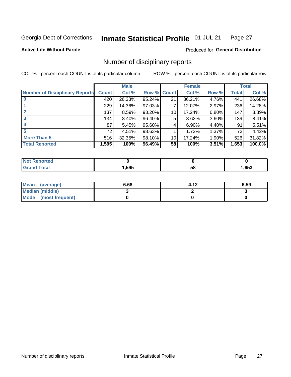#### Inmate Statistical Profile 01-JUL-21 Page 27

**Active Life Without Parole** 

Produced for General Distribution

## Number of disciplinary reports

COL % - percent each COUNT is of its particular column

|                                       | <b>Male</b>  |        |             |    | <b>Female</b> | <b>Total</b> |       |        |
|---------------------------------------|--------------|--------|-------------|----|---------------|--------------|-------|--------|
| <b>Number of Disciplinary Reports</b> | <b>Count</b> | Col %  | Row % Count |    | Col %         | Row %        | Total | Col %  |
|                                       | 420          | 26.33% | 95.24%      | 21 | 36.21%        | 4.76%        | 441   | 26.68% |
|                                       | 229          | 14.36% | 97.03%      |    | 12.07%        | 2.97%        | 236   | 14.28% |
|                                       | 137          | 8.59%  | 93.20%      | 10 | 17.24%        | 6.80%        | 147   | 8.89%  |
| 3                                     | 134          | 8.40%  | 96.40%      | 5  | 8.62%         | $3.60\%$     | 139   | 8.41%  |
| 4                                     | 87           | 5.45%  | 95.60%      | 4  | 6.90%         | 4.40%        | 91    | 5.51%  |
|                                       | 72           | 4.51%  | 98.63%      |    | 1.72%         | 1.37%        | 73    | 4.42%  |
| <b>More Than 5</b>                    | 516          | 32.35% | 98.10%      | 10 | 17.24%        | 1.90%        | 526   | 31.82% |
| <b>Total Reported</b>                 | 1,595        | 100%   | 96.49%      | 58 | 100%          | 3.51%        | 1,653 | 100.0% |

| NO    |      |    |      |
|-------|------|----|------|
| ⊺otal | ,595 | Ⴢჾ | ,653 |

| Mean (average)         | 6.68 | 4.12 | 6.59 |
|------------------------|------|------|------|
| <b>Median (middle)</b> |      |      |      |
| Mode (most frequent)   |      |      |      |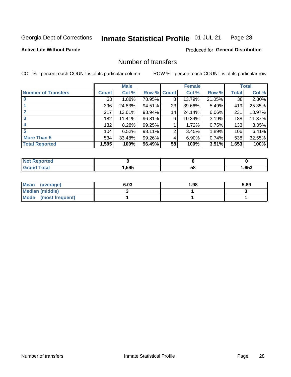#### Inmate Statistical Profile 01-JUL-21 Page 28

**Active Life Without Parole** 

Produced for General Distribution

## Number of transfers

COL % - percent each COUNT is of its particular column

|                            | <b>Male</b>     |        | <b>Female</b> |              |        | <b>Total</b> |              |        |
|----------------------------|-----------------|--------|---------------|--------------|--------|--------------|--------------|--------|
| <b>Number of Transfers</b> | Count l         | Col %  | Row %         | <b>Count</b> | Col %  | Row %        | <b>Total</b> | Col %  |
|                            | 30 <sub>1</sub> | 1.88%  | 78.95%        | 8            | 13.79% | 21.05%       | 38           | 2.30%  |
|                            | 396             | 24.83% | 94.51%        | 23           | 39.66% | 5.49%        | 419          | 25.35% |
| $\mathbf{2}$               | 217             | 13.61% | 93.94%        | 14           | 24.14% | 6.06%        | 231          | 13.97% |
| 3                          | 182             | 11.41% | 96.81%        | 6            | 10.34% | $3.19\%$     | 188          | 11.37% |
|                            | 132             | 8.28%  | 99.25%        |              | 1.72%  | 0.75%        | 133          | 8.05%  |
| 5                          | 104             | 6.52%  | 98.11%        | 2            | 3.45%  | 1.89%        | 106          | 6.41%  |
| <b>More Than 5</b>         | 534             | 33.48% | 99.26%        | 4            | 6.90%  | 0.74%        | 538          | 32.55% |
| <b>Total Reported</b>      | 1,595           | 100%   | 96.49%        | 58           | 100%   | 3.51%        | 1,653        | 100%   |

| วrted<br>NO  |      |    |      |
|--------------|------|----|------|
| <b>Total</b> | ,595 | ၁၀ | ,653 |

| Mean (average)         | 6.03 | 1.98 | 5.89 |
|------------------------|------|------|------|
| <b>Median (middle)</b> |      |      |      |
| Mode (most frequent)   |      |      |      |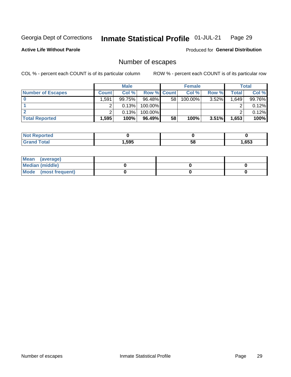#### Inmate Statistical Profile 01-JUL-21 Page 29

**Active Life Without Parole** 

Produced for General Distribution

## Number of escapes

COL % - percent each COUNT is of its particular column

|                          | <b>Male</b>    |        |                    | <b>Female</b> |            |          | Total |        |
|--------------------------|----------------|--------|--------------------|---------------|------------|----------|-------|--------|
| <b>Number of Escapes</b> | <b>Count</b>   | Col %  | <b>Row % Count</b> |               | Col %      | Row %    | Total | Col %  |
|                          | .591           | 99.75% | $96.48\%$          | 58            | $100.00\%$ | $3.52\%$ | 1,649 | 99.76% |
|                          |                | 0.13%  | 100.00%            |               |            |          |       | 0.12%  |
|                          |                | 0.13%  | 100.00%            |               |            |          |       | 0.12%  |
| <b>Total Reported</b>    | $.595^{\circ}$ | 100%   | 96.49%             | 58            | 100%       | $3.51\%$ | 1,653 | 100%   |

| <b>orted</b><br>NOT |       |    |      |
|---------------------|-------|----|------|
| $F$ ntn             | 1,595 | 58 | ,653 |

| Mean (average)       |  |  |
|----------------------|--|--|
| Median (middle)      |  |  |
| Mode (most frequent) |  |  |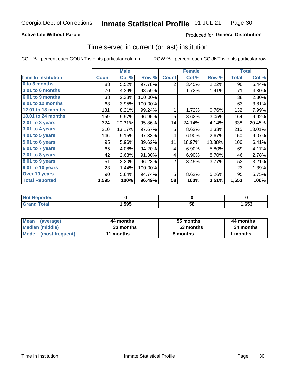### **Active Life Without Parole**

## Produced for General Distribution

## Time served in current (or last) institution

COL % - percent each COUNT is of its particular column

|                            |              | <b>Male</b> |         |                | <b>Female</b> | <b>Total</b> |              |        |
|----------------------------|--------------|-------------|---------|----------------|---------------|--------------|--------------|--------|
| <b>Time In Institution</b> | <b>Count</b> | Col %       | Row %   | <b>Count</b>   | Col %         | Row %        | <b>Total</b> | Col %  |
| 0 to 3 months              | 88           | 5.52%       | 97.78%  | 2              | 3.45%         | 2.22%        | 90           | 5.44%  |
| <b>3.01 to 6 months</b>    | 70           | 4.39%       | 98.59%  |                | 1.72%         | 1.41%        | 71           | 4.30%  |
| 6.01 to 9 months           | 38           | 2.38%       | 100.00% |                |               |              | 38           | 2.30%  |
| 9.01 to 12 months          | 63           | 3.95%       | 100.00% |                |               |              | 63           | 3.81%  |
| <b>12.01 to 18 months</b>  | 131          | 8.21%       | 99.24%  | 1              | 1.72%         | 0.76%        | 132          | 7.99%  |
| 18.01 to 24 months         | 159          | 9.97%       | 96.95%  | 5              | 8.62%         | 3.05%        | 164          | 9.92%  |
| $2.01$ to 3 years          | 324          | 20.31%      | 95.86%  | 14             | 24.14%        | 4.14%        | 338          | 20.45% |
| 3.01 to 4 years            | 210          | 13.17%      | 97.67%  | 5              | 8.62%         | 2.33%        | 215          | 13.01% |
| $4.01$ to 5 years          | 146          | 9.15%       | 97.33%  | 4              | 6.90%         | 2.67%        | 150          | 9.07%  |
| 5.01 to 6 years            | 95           | 5.96%       | 89.62%  | 11             | 18.97%        | 10.38%       | 106          | 6.41%  |
| 6.01 to 7 years            | 65           | 4.08%       | 94.20%  | 4              | 6.90%         | 5.80%        | 69           | 4.17%  |
| $7.01$ to 8 years          | 42           | 2.63%       | 91.30%  | 4              | 6.90%         | 8.70%        | 46           | 2.78%  |
| 8.01 to 9 years            | 51           | 3.20%       | 96.23%  | $\overline{2}$ | 3.45%         | 3.77%        | 53           | 3.21%  |
| 9.01 to 10 years           | 23           | 1.44%       | 100.00% |                |               |              | 23           | 1.39%  |
| Over 10 years              | 90           | 5.64%       | 94.74%  | 5              | 8.62%         | 5.26%        | 95           | 5.75%  |
| <b>Total Reported</b>      | 1,595        | 100%        | 96.49%  | 58             | 100%          | 3.51%        | 1,653        | 100%   |

| <b>Not Reported</b> |       |    |      |
|---------------------|-------|----|------|
| $f \circ f \circ f$ | 1,595 | vu | ,653 |

| <b>Mean</b><br>(average) | 44 months | 55 months | 44 months |
|--------------------------|-----------|-----------|-----------|
| Median (middle)          | 33 months | 53 months | 34 months |
| Mode (most frequent)     | 11 months | 5 months  | 1 months  |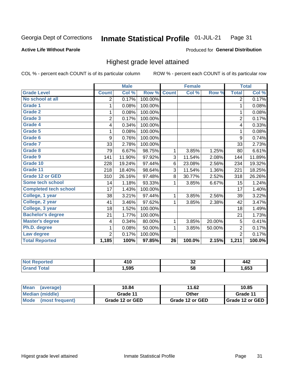#### Inmate Statistical Profile 01-JUL-21 Page 31

#### **Active Life Without Parole**

### Produced for General Distribution

## Highest grade level attained

COL % - percent each COUNT is of its particular column

|                              |                | <b>Male</b> |         |                 | <b>Female</b> |        |                | <b>Total</b> |
|------------------------------|----------------|-------------|---------|-----------------|---------------|--------|----------------|--------------|
| <b>Grade Level</b>           | <b>Count</b>   | Col %       | Row %   | <b>Count</b>    | Col %         | Row %  | <b>Total</b>   | Col %        |
| No school at all             | 2              | 0.17%       | 100.00% |                 |               |        | $\overline{2}$ | 0.17%        |
| <b>Grade 1</b>               | 1              | 0.08%       | 100.00% |                 |               |        | 1              | 0.08%        |
| <b>Grade 2</b>               | 1              | 0.08%       | 100.00% |                 |               |        | 1              | 0.08%        |
| <b>Grade 3</b>               | $\overline{2}$ | 0.17%       | 100.00% |                 |               |        | $\overline{2}$ | 0.17%        |
| <b>Grade 4</b>               | 4              | 0.34%       | 100.00% |                 |               |        | 4              | 0.33%        |
| Grade 5                      | 1              | 0.08%       | 100.00% |                 |               |        | 1              | 0.08%        |
| Grade 6                      | 9              | 0.76%       | 100.00% |                 |               |        | 9              | 0.74%        |
| Grade 7                      | 33             | 2.78%       | 100.00% |                 |               |        | 33             | 2.73%        |
| Grade 8                      | 79             | 6.67%       | 98.75%  | 1               | 3.85%         | 1.25%  | 80             | 6.61%        |
| Grade 9                      | 141            | 11.90%      | 97.92%  | 3               | 11.54%        | 2.08%  | 144            | 11.89%       |
| Grade 10                     | 228            | 19.24%      | 97.44%  | 6               | 23.08%        | 2.56%  | 234            | 19.32%       |
| Grade 11                     | 218            | 18.40%      | 98.64%  | 3               | 11.54%        | 1.36%  | 221            | 18.25%       |
| <b>Grade 12 or GED</b>       | 310            | 26.16%      | 97.48%  | 8               | 30.77%        | 2.52%  | 318            | 26.26%       |
| Some tech school             | 14             | 1.18%       | 93.33%  | 1               | 3.85%         | 6.67%  | 15             | 1.24%        |
| <b>Completed tech school</b> | 17             | 1.43%       | 100.00% |                 |               |        | 17             | 1.40%        |
| College, 1 year              | 38             | 3.21%       | 97.44%  | 1               | 3.85%         | 2.56%  | 39             | 3.22%        |
| College, 2 year              | 41             | 3.46%       | 97.62%  | 1               | 3.85%         | 2.38%  | 42             | 3.47%        |
| College, 3 year              | 18             | 1.52%       | 100.00% |                 |               |        | 18             | 1.49%        |
| <b>Bachelor's degree</b>     | 21             | 1.77%       | 100.00% |                 |               |        | 21             | 1.73%        |
| <b>Master's degree</b>       | 4              | 0.34%       | 80.00%  | 1               | 3.85%         | 20.00% | 5              | 0.41%        |
| Ph.D. degree                 | 1              | 0.08%       | 50.00%  | 1               | 3.85%         | 50.00% | $\overline{2}$ | 0.17%        |
| Law degree                   | $\overline{2}$ | 0.17%       | 100.00% |                 |               |        | $\overline{2}$ | 0.17%        |
| <b>Total Reported</b>        | 1,185          | 100%        | 97.85%  | $\overline{26}$ | 100.0%        | 2.15%  | 1,211          | 100.0%       |

| NO   | .    | ^^<br>◡▵ | 442  |
|------|------|----------|------|
| υιαι | .595 | -58      | .653 |

| Mean<br>(average)       | 10.84           | 11.62           | 10.85           |
|-------------------------|-----------------|-----------------|-----------------|
| <b>Median (middle)</b>  | Grade 11        | Other           | Grade 11        |
| Mode<br>(most frequent) | Grade 12 or GED | Grade 12 or GED | Grade 12 or GED |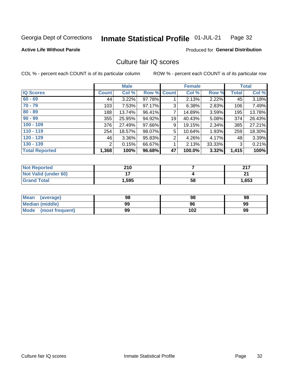#### Inmate Statistical Profile 01-JUL-21 Page 32

### **Active Life Without Parole**

### **Produced for General Distribution**

## Culture fair IQ scores

COL % - percent each COUNT is of its particular column

|                       |              | <b>Male</b> |             |                | <b>Female</b> |          |              | <b>Total</b> |
|-----------------------|--------------|-------------|-------------|----------------|---------------|----------|--------------|--------------|
| <b>IQ Scores</b>      | <b>Count</b> | Col %       | Row % Count |                | Col %         | Row %    | <b>Total</b> | Col %        |
| $60 - 69$             | 44           | 3.22%       | 97.78%      |                | 2.13%         | 2.22%    | 45           | 3.18%        |
| $70 - 79$             | 103          | 7.53%       | 97.17%      | 3              | 6.38%         | 2.83%    | 106          | 7.49%        |
| $80 - 89$             | 188          | 13.74%      | 96.41%      | 7              | 14.89%        | 3.59%    | 195          | 13.78%       |
| $90 - 99$             | 355          | 25.95%      | 94.92%      | 19             | 40.43%        | $5.08\%$ | 374          | 26.43%       |
| $100 - 109$           | 376          | 27.49%      | 97.66%      | 9              | 19.15%        | 2.34%    | 385          | 27.21%       |
| $110 - 119$           | 254          | 18.57%      | 98.07%      | 5              | 10.64%        | 1.93%    | 259          | 18.30%       |
| $120 - 129$           | 46           | 3.36%       | 95.83%      | $\overline{2}$ | 4.26%         | 4.17%    | 48           | 3.39%        |
| $130 - 139$           | 2            | 0.15%       | 66.67%      | 1              | 2.13%         | 33.33%   | 3            | 0.21%        |
| <b>Total Reported</b> | 1,368        | 100%        | 96.68%      | 47             | 100.0%        | 3.32%    | 1,415        | 100%         |

| <b>Not Reported</b>  | 210                      |    | 247   |
|----------------------|--------------------------|----|-------|
| Not Valid (under 60) | $\overline{\phantom{a}}$ |    | ີ     |
| <b>Grand Total</b>   | 1,595                    | 58 | 1,653 |

| <b>Mean</b><br>(average) | 98 | 98  | 98 |
|--------------------------|----|-----|----|
| Median (middle)          | 99 | 96  | 99 |
| Mode (most frequent)     | 99 | 102 | 99 |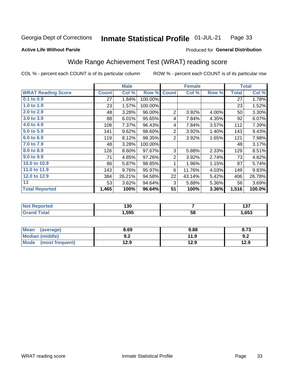#### Inmate Statistical Profile 01-JUL-21 Page 33

**Produced for General Distribution** 

#### **Active Life Without Parole**

## Wide Range Achievement Test (WRAT) reading score

COL % - percent each COUNT is of its particular column

|                           |              | <b>Male</b> |         |                | <b>Female</b> |       |              | <b>Total</b> |
|---------------------------|--------------|-------------|---------|----------------|---------------|-------|--------------|--------------|
| <b>WRAT Reading Score</b> | <b>Count</b> | Col %       | Row %   | <b>Count</b>   | Col %         | Row % | <b>Total</b> | Col %        |
| 0.1 to 0.9                | 27           | 1.84%       | 100.00% |                |               |       | 27           | 1.78%        |
| 1.0 to 1.9                | 23           | 1.57%       | 100.00% |                |               |       | 23           | 1.52%        |
| 2.0 to 2.9                | 48           | 3.28%       | 96.00%  | $\overline{2}$ | 3.92%         | 4.00% | 50           | 3.30%        |
| 3.0 to 3.9                | 88           | 6.01%       | 95.65%  | 4              | 7.84%         | 4.35% | 92           | 6.07%        |
| 4.0 to 4.9                | 108          | 7.37%       | 96.43%  | 4              | 7.84%         | 3.57% | 112          | 7.39%        |
| 5.0 to 5.9                | 141          | 9.62%       | 98.60%  | $\overline{2}$ | 3.92%         | 1.40% | 143          | 9.43%        |
| 6.0 to 6.9                | 119          | 8.12%       | 98.35%  | $\overline{2}$ | 3.92%         | 1.65% | 121          | 7.98%        |
| 7.0 to 7.9                | 48           | 3.28%       | 100.00% |                |               |       | 48           | 3.17%        |
| 8.0 to 8.9                | 126          | 8.60%       | 97.67%  | 3              | 5.88%         | 2.33% | 129          | 8.51%        |
| 9.0 to 9.9                | 71           | 4.85%       | 97.26%  | $\overline{2}$ | 3.92%         | 2.74% | 73           | 4.82%        |
| 10.0 to 10.9              | 86           | 5.87%       | 98.85%  | 1              | 1.96%         | 1.15% | 87           | 5.74%        |
| 11.0 to 11.9              | 143          | 9.76%       | 95.97%  | 6              | 11.76%        | 4.03% | 149          | 9.83%        |
| 12.0 to 12.9              | 384          | 26.21%      | 94.58%  | 22             | 43.14%        | 5.42% | 406          | 26.78%       |
| 13                        | 53           | 3.62%       | 94.64%  | 3              | 5.88%         | 5.36% | 56           | 3.69%        |
| <b>Total Reported</b>     | 1,465        | 100%        | 96.64%  | 51             | 100%          | 3.36% | 1,516        | 100.0%       |

| ≺eportea              | 130  |    | "<br>1 J I |
|-----------------------|------|----|------------|
| 'otal<br>$\mathbf{v}$ | ,595 | 58 | ,653       |

| <b>Mean</b><br>(average) | 8.69       | 9.88 | 8.73 |
|--------------------------|------------|------|------|
| Median (middle)          | י ה<br>Y.Z | 11.9 | 9.2  |
| Mode (most frequent)     | 12.9       | 12.9 | 12.9 |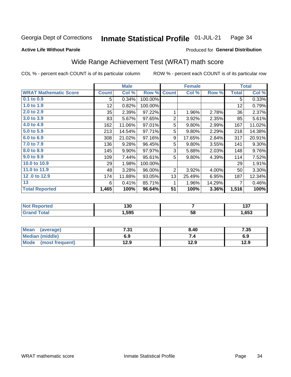#### **Inmate Statistical Profile 01-JUL-21** Page 34

#### **Active Life Without Parole**

### Produced for General Distribution

## Wide Range Achievement Test (WRAT) math score

COL % - percent each COUNT is of its particular column

|                              |              | <b>Male</b> |         |                | <b>Female</b> |        |              | <b>Total</b> |
|------------------------------|--------------|-------------|---------|----------------|---------------|--------|--------------|--------------|
| <b>WRAT Mathematic Score</b> | <b>Count</b> | Col %       | Row %   | <b>Count</b>   | Col %         | Row %  | <b>Total</b> | Col %        |
| $0.1$ to $0.9$               | 5            | 0.34%       | 100.00% |                |               |        | 5            | 0.33%        |
| 1.0 to 1.9                   | 12           | 0.82%       | 100.00% |                |               |        | 12           | 0.79%        |
| 2.0 to 2.9                   | 35           | 2.39%       | 97.22%  | 1              | 1.96%         | 2.78%  | 36           | 2.37%        |
| 3.0 to 3.9                   | 83           | 5.67%       | 97.65%  | $\overline{2}$ | 3.92%         | 2.35%  | 85           | 5.61%        |
| 4.0 to 4.9                   | 162          | 11.06%      | 97.01%  | 5              | 9.80%         | 2.99%  | 167          | 11.02%       |
| 5.0 to 5.9                   | 213          | 14.54%      | 97.71%  | 5              | 9.80%         | 2.29%  | 218          | 14.38%       |
| 6.0 to 6.9                   | 308          | 21.02%      | 97.16%  | 9              | 17.65%        | 2.84%  | 317          | 20.91%       |
| 7.0 to 7.9                   | 136          | 9.28%       | 96.45%  | 5              | 9.80%         | 3.55%  | 141          | $9.30\%$     |
| 8.0 to 8.9                   | 145          | 9.90%       | 97.97%  | 3              | 5.88%         | 2.03%  | 148          | 9.76%        |
| 9.0 to 9.9                   | 109          | 7.44%       | 95.61%  | 5              | 9.80%         | 4.39%  | 114          | 7.52%        |
| 10.0 to 10.9                 | 29           | 1.98%       | 100.00% |                |               |        | 29           | 1.91%        |
| 11.0 to 11.9                 | 48           | 3.28%       | 96.00%  | 2              | 3.92%         | 4.00%  | 50           | 3.30%        |
| 12.0 to 12.9                 | 174          | 11.88%      | 93.05%  | 13             | 25.49%        | 6.95%  | 187          | 12.34%       |
| 13                           | 6            | 0.41%       | 85.71%  | 1              | 1.96%         | 14.29% | 7            | 0.46%        |
| <b>Total Reported</b>        | 1,465        | 100%        | 96.64%  | 51             | 100%          | 3.36%  | 1,516        | 100%         |
|                              |              |             |         |                |               |        |              |              |

| <b>Not Reported</b>   | 130  |    | , , ,<br>1 J I |
|-----------------------|------|----|----------------|
| <b>Total</b><br>Grand | ,595 | 58 | ,653           |

| Mean (average)         | 7.31 | 8.40 | 7.35 |
|------------------------|------|------|------|
| <b>Median (middle)</b> | 6.9  | 7.4  | 6.9  |
| Mode (most frequent)   | 12.9 | 12.9 | 12.9 |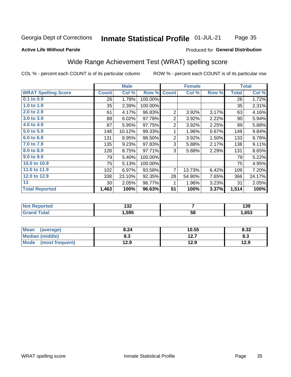#### Inmate Statistical Profile 01-JUL-21 Page 35

### **Active Life Without Parole**

### Produced for General Distribution

## Wide Range Achievement Test (WRAT) spelling score

COL % - percent each COUNT is of its particular column

|                            |              | <b>Male</b> |         |                 | <b>Female</b>  |       |              | <b>Total</b> |
|----------------------------|--------------|-------------|---------|-----------------|----------------|-------|--------------|--------------|
| <b>WRAT Spelling Score</b> | <b>Count</b> | Col %       | Row %   | <b>Count</b>    | Col %          | Row % | <b>Total</b> | Col %        |
| 0.1 to 0.9                 | 26           | 1.78%       | 100.00% |                 |                |       | 26           | 1.72%        |
| 1.0 to 1.9                 | 35           | 2.39%       | 100.00% |                 |                |       | 35           | 2.31%        |
| 2.0 to 2.9                 | 61           | 4.17%       | 96.83%  | $\overline{2}$  | 3.92%          | 3.17% | 63           | 4.16%        |
| 3.0 to 3.9                 | 88           | 6.02%       | 97.78%  | 2               | 3.92%          | 2.22% | 90           | 5.94%        |
| 4.0 to 4.9                 | 87           | 5.95%       | 97.75%  | $\overline{c}$  | 3.92%          | 2.25% | 89           | 5.88%        |
| 5.0 to 5.9                 | 148          | 10.12%      | 99.33%  | 1               | 1.96%          | 0.67% | 149          | 9.84%        |
| 6.0 to 6.9                 | 131          | 8.95%       | 98.50%  | 2               | 3.92%          | 1.50% | 133          | 8.78%        |
| 7.0 to 7.9                 | 135          | 9.23%       | 97.83%  | 3               | 5.88%          | 2.17% | 138          | 9.11%        |
| 8.0 to 8.9                 | 128          | 8.75%       | 97.71%  | 3               | 5.88%          | 2.29% | 131          | 8.65%        |
| 9.0 to 9.9                 | 79           | 5.40%       | 100.00% |                 |                |       | 79           | 5.22%        |
| 10.0 to 10.9               | 75           | 5.13%       | 100.00% |                 |                |       | 75           | 4.95%        |
| 11.0 to 11.9               | 102          | 6.97%       | 93.58%  | $\overline{7}$  | 13.73%         | 6.42% | 109          | 7.20%        |
| 12.0 to 12.9               | 338          | 23.10%      | 92.35%  | 28              | 54.90%         | 7.65% | 366          | 24.17%       |
| 13                         | 30           | 2.05%       | 96.77%  | 1               | 1.96%          | 3.23% | 31           | 2.05%        |
| <b>Total Reported</b>      | 1,463        | 100%        | 96.63%  | $\overline{51}$ | 100%           | 3.37% | 1,514        | 100%         |
|                            |              |             |         |                 |                |       |              |              |
| <b>Not Reported</b>        |              | 132         |         |                 | $\overline{7}$ |       |              | 139          |
| <b>Grand Total</b>         |              | 1,595       |         |                 | 58             |       |              | 1,653        |

| <b>Mean</b><br>(average)       | 8.24 | 10.55     | 8.32 |
|--------------------------------|------|-----------|------|
| <b>Median (middle)</b>         | o.J  | 1つ フ<br>. | ი.ა  |
| <b>Mode</b><br>(most frequent) | 12.9 | 12.9      | 12.9 |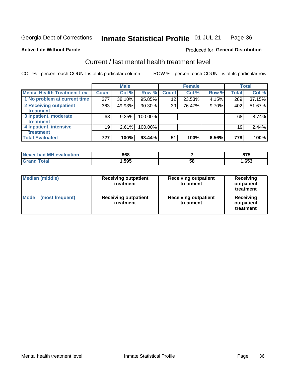#### Inmate Statistical Profile 01-JUL-21 Page 36

## **Active Life Without Parole**

**Produced for General Distribution** 

## Current / last mental health treatment level

COL % - percent each COUNT is of its particular column

|                                    |              | <b>Male</b> |         |              | <b>Female</b> |       |              | <b>Total</b> |
|------------------------------------|--------------|-------------|---------|--------------|---------------|-------|--------------|--------------|
| <b>Mental Health Treatment Lev</b> | <b>Count</b> | Col %       | Row %   | <b>Count</b> | Col %         | Row % | <b>Total</b> | Col %        |
| 1 No problem at current time       | 277          | 38.10%      | 95.85%  | 12           | 23.53%        | 4.15% | 289          | 37.15%       |
| 2 Receiving outpatient             | 363          | 49.93%      | 90.30%  | 39           | 76.47%        | 9.70% | 402          | 51.67%       |
| <b>Treatment</b>                   |              |             |         |              |               |       |              |              |
| 3 Inpatient, moderate              | 68           | 9.35%       | 100.00% |              |               |       | 68           | 8.74%        |
| <b>Treatment</b>                   |              |             |         |              |               |       |              |              |
| 4 Inpatient, intensive             | 19           | 2.61%       | 100.00% |              |               |       | 19           | 2.44%        |
| Treatment                          |              |             |         |              |               |       |              |              |
| <b>Total Evaluated</b>             | 727          | 100%        | 93.44%  | 51           | 100%          | 6.56% | 778          | 100%         |

| Never had MH evaluation | 868    |    | 075<br>0 I J |
|-------------------------|--------|----|--------------|
| Total                   | 595, ، | 58 | ,653         |

| <b>Median (middle)</b>         | <b>Receiving outpatient</b><br>treatment | <b>Receiving outpatient</b><br>treatment | <b>Receiving</b><br>outpatient<br>treatment |  |  |
|--------------------------------|------------------------------------------|------------------------------------------|---------------------------------------------|--|--|
| <b>Mode</b><br>(most frequent) | <b>Receiving outpatient</b><br>treatment | <b>Receiving outpatient</b><br>treatment | <b>Receiving</b><br>outpatient<br>treatment |  |  |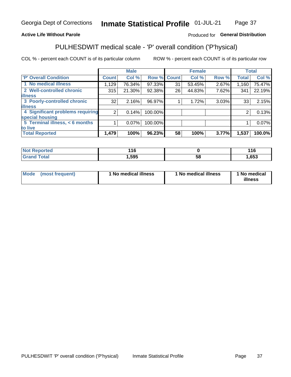#### Inmate Statistical Profile 01-JUL-21 Page 37

### **Active Life Without Parole**

### Produced for General Distribution

## PULHESDWIT medical scale - 'P' overall condition ('P'hysical)

COL % - percent each COUNT is of its particular column

|                                  |                | <b>Male</b> |         |             | <b>Female</b> |       |                | <b>Total</b> |
|----------------------------------|----------------|-------------|---------|-------------|---------------|-------|----------------|--------------|
| 'P' Overall Condition            | <b>Count</b>   | Col %       |         | Row % Count | Col %         | Row % | <b>Total</b>   | Col %        |
| 1 No medical illness             | 1,129          | 76.34%      | 97.33%  | 31          | 53.45%        | 2.67% | 1,160          | 75.47%       |
| 2 Well-controlled chronic        | 315            | $21.30\%$   | 92.38%  | 26          | 44.83%        | 7.62% | 341            | 22.19%       |
| <b>illness</b>                   |                |             |         |             |               |       |                |              |
| 3 Poorly-controlled chronic      | 32             | 2.16%       | 96.97%  |             | 1.72%         | 3.03% | 33             | 2.15%        |
| <b>illness</b>                   |                |             |         |             |               |       |                |              |
| 4 Significant problems requiring | 2 <sub>1</sub> | 0.14%       | 100.00% |             |               |       | $\overline{2}$ | 0.13%        |
| special housing                  |                |             |         |             |               |       |                |              |
| 5 Terminal illness, $<$ 6 months |                | $0.07\%$    | 100.00% |             |               |       |                | 0.07%        |
| to live                          |                |             |         |             |               |       |                |              |
| <b>Total Reported</b>            | 1,479          | 100%        | 96.23%  | 58          | 100%          | 3.77% | 1,537          | 100.0%       |

| rtea<br>.      | 116  |    | 44 C |
|----------------|------|----|------|
| $-4-$<br>_____ | 595, | Эč | ,653 |

|  |  | Mode (most frequent) | 1 No medical illness | 1 No medical illness | 1 No medical<br>illness |
|--|--|----------------------|----------------------|----------------------|-------------------------|
|--|--|----------------------|----------------------|----------------------|-------------------------|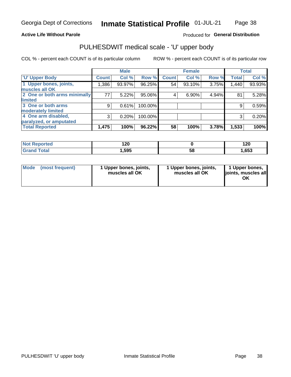### **Active Life Without Parole**

### Produced for General Distribution

## PULHESDWIT medical scale - 'U' upper body

COL % - percent each COUNT is of its particular column

|                              |              | <b>Male</b> |         |              | <b>Female</b> |       |              | <b>Total</b> |
|------------------------------|--------------|-------------|---------|--------------|---------------|-------|--------------|--------------|
| <b>'U' Upper Body</b>        | <b>Count</b> | Col %       | Row %   | <b>Count</b> | Col %         | Row % | <b>Total</b> | Col %        |
| 1 Upper bones, joints,       | 1,386        | 93.97%      | 96.25%  | 54           | 93.10%        | 3.75% | 1,440        | 93.93%       |
| muscles all OK               |              |             |         |              |               |       |              |              |
| 2 One or both arms minimally | 77           | 5.22%       | 95.06%  | 4            | 6.90%         | 4.94% | 81           | 5.28%        |
| limited                      |              |             |         |              |               |       |              |              |
| 3 One or both arms           | 9            | 0.61%       | 100.00% |              |               |       | 9            | 0.59%        |
| <b>moderately limited</b>    |              |             |         |              |               |       |              |              |
| 4 One arm disabled,          | 3            | 0.20%       | 100.00% |              |               |       | 3            | 0.20%        |
| paralyzed, or amputated      |              |             |         |              |               |       |              |              |
| <b>Total Reported</b>        | 1,475        | 100%        | 96.22%  | 58           | 100%          | 3.78% | 1,533        | 100%         |

| <b>Not Reported</b> | ィクハ<br>I ŁU |    | חר ו<br>I ZU |
|---------------------|-------------|----|--------------|
| <b>Total</b>        | ,595        | 58 | ,653         |

| <b>Mode</b> | (most frequent) | 1 Upper bones, joints,<br>muscles all OK | 1 Upper bones, joints,<br>muscles all OK | 1 Upper bones,<br>ljoints, muscles all<br>ОK |
|-------------|-----------------|------------------------------------------|------------------------------------------|----------------------------------------------|
|-------------|-----------------|------------------------------------------|------------------------------------------|----------------------------------------------|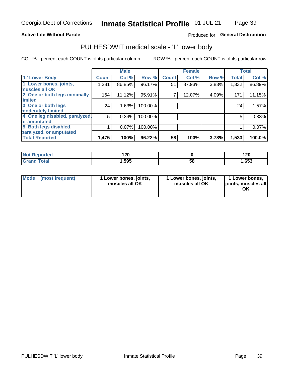### **Active Life Without Parole**

## Produced for General Distribution

## PULHESDWIT medical scale - 'L' lower body

COL % - percent each COUNT is of its particular column

|                                |              | <b>Male</b> |         |              | <b>Female</b> |       |              | <b>Total</b> |
|--------------------------------|--------------|-------------|---------|--------------|---------------|-------|--------------|--------------|
| 'L' Lower Body                 | <b>Count</b> | Col %       | Row %   | <b>Count</b> | Col %         | Row % | <b>Total</b> | Col %        |
| 1 Lower bones, joints,         | 1,281        | 86.85%      | 96.17%  | 51           | 87.93%        | 3.83% | 1,332        | 86.89%       |
| muscles all OK                 |              |             |         |              |               |       |              |              |
| 2 One or both legs minimally   | 164          | 11.12%      | 95.91%  |              | 12.07%        | 4.09% | 171          | 11.15%       |
| limited                        |              |             |         |              |               |       |              |              |
| 3 One or both legs             | 24           | 1.63%       | 100.00% |              |               |       | 24           | 1.57%        |
| moderately limited             |              |             |         |              |               |       |              |              |
| 4 One leg disabled, paralyzed, | 5            | 0.34%       | 100.00% |              |               |       | 5            | 0.33%        |
| or amputated                   |              |             |         |              |               |       |              |              |
| 5 Both legs disabled,          |              | 0.07%       | 100.00% |              |               |       |              | 0.07%        |
| paralyzed, or amputated        |              |             |         |              |               |       |              |              |
| <b>Total Reported</b>          | 1,475        | 100%        | 96.22%  | 58           | 100%          | 3.78% | 1,533        | 100.0%       |

| <b>Not Reported</b> | חה ו<br>14 L V |    | 120  |
|---------------------|----------------|----|------|
| <b>Grand Total</b>  | 1,595          | ხშ | ,653 |

| Mode (most frequent) | I Lower bones, joints,<br>muscles all OK | 1 Lower bones, joints,<br>muscles all OK | 1 Lower bones,<br>joints, muscles all<br>ΟK |
|----------------------|------------------------------------------|------------------------------------------|---------------------------------------------|
|----------------------|------------------------------------------|------------------------------------------|---------------------------------------------|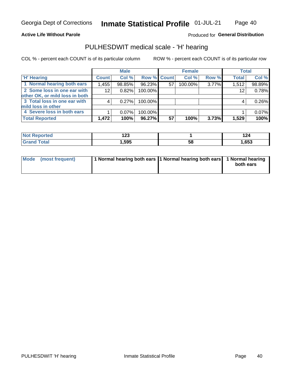### **Active Life Without Parole**

### Produced for General Distribution

## PULHESDWIT medical scale - 'H' hearing

COL % - percent each COUNT is of its particular column

|                                |              | <b>Male</b> |                    |    | <b>Female</b> |       | <b>Total</b> |        |
|--------------------------------|--------------|-------------|--------------------|----|---------------|-------|--------------|--------|
| <b>H' Hearing</b>              | <b>Count</b> | Col%        | <b>Row % Count</b> |    | Col %         | Row % | <b>Total</b> | Col %  |
| 1 Normal hearing both ears     | 1,455        | 98.85%      | 96.23%             | 57 | 100.00%       | 3.77% | 1,512        | 98.89% |
| 2 Some loss in one ear with    | 12           | 0.82%       | 100.00%            |    |               |       | 12           | 0.78%  |
| other OK, or mild loss in both |              |             |                    |    |               |       |              |        |
| 3 Total loss in one ear with   |              | 0.27%       | 100.00%            |    |               |       | 4            | 0.26%  |
| mild loss in other             |              |             |                    |    |               |       |              |        |
| 4 Severe loss in both ears     |              | 0.07%       | 100.00%            |    |               |       |              | 0.07%  |
| <b>Total Reported</b>          | 1,472        | 100%        | 96.27%             | 57 | 100%          | 3.73% | 1,529        | 100%   |

| 'N<br>reo | $\sim$<br>14J |    | 124  |
|-----------|---------------|----|------|
| _____     | 505           | აა | ,653 |

| Mode (most frequent) | 1 Normal hearing both ears 1 Normal hearing both ears 1 Normal hearing | both ears |
|----------------------|------------------------------------------------------------------------|-----------|
|                      |                                                                        |           |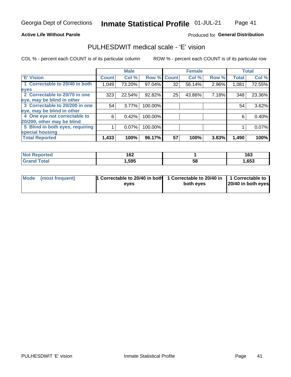### **Active Life Without Parole**

### Produced for General Distribution

## PULHESDWIT medical scale - 'E' vision

COL % - percent each COUNT is of its particular column

|                                 |                    | <b>Male</b> |         |             | <b>Female</b> |       |              | <b>Total</b> |
|---------------------------------|--------------------|-------------|---------|-------------|---------------|-------|--------------|--------------|
| 'E' Vision                      | Count <sup>'</sup> | Col %       |         | Row % Count | Col %         | Row % | <b>Total</b> | Col %        |
| 1 Correctable to 20/40 in both  | 1,049              | 73.20%      | 97.04%  | 32          | 56.14%        | 2.96% | 1,081        | 72.55%       |
| eyes                            |                    |             |         |             |               |       |              |              |
| 2 Correctable to 20/70 in one   | 323                | 22.54%      | 92.82%  | 25          | 43.86%        | 7.18% | 348          | 23.36%       |
| eye, may be blind in other      |                    |             |         |             |               |       |              |              |
| 3 Correctable to 20/200 in one  | 54                 | 3.77%       | 100.00% |             |               |       | 54           | 3.62%        |
| eye, may be blind in other      |                    |             |         |             |               |       |              |              |
| 4 One eye not correctable to    | 6                  | 0.42%       | 100.00% |             |               |       | 6            | 0.40%        |
| 20/200, other may be blind      |                    |             |         |             |               |       |              |              |
| 5 Blind in both eyes, requiring |                    | 0.07%       | 100.00% |             |               |       |              | $0.07\%$     |
| special housing                 |                    |             |         |             |               |       |              |              |
| <b>Total Reported</b>           | 1,433              | 100%        | 96.17%  | 57          | 100%          | 3.83% | 1,490        | 100%         |

| <b>Reported</b><br>NOT. | 162  |    | 163   |
|-------------------------|------|----|-------|
| <b>Total</b>            | ,595 | 58 | 1,653 |

| Mode (most frequent) | 1 Correctable to 20/40 in both<br>eves | 1 Correctable to 20/40 in   1 Correctable to  <br>both eyes | 20/40 in both eyes |
|----------------------|----------------------------------------|-------------------------------------------------------------|--------------------|
|                      |                                        |                                                             |                    |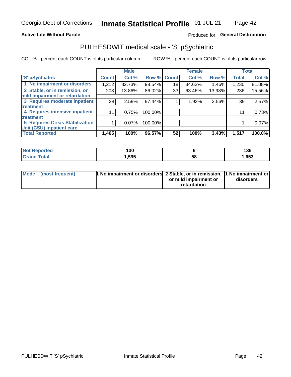### **Active Life Without Parole**

## Produced for General Distribution

## PULHESDWIT medical scale - 'S' pSychiatric

COL % - percent each COUNT is of its particular column

|                                        |              | <b>Male</b> |         |                    | <b>Female</b> |        |              | <b>Total</b> |
|----------------------------------------|--------------|-------------|---------|--------------------|---------------|--------|--------------|--------------|
| 'S' pSychiatric                        | <b>Count</b> | Col %       |         | <b>Row % Count</b> | Col %         | Row %  | <b>Total</b> | Col %        |
| 1 No impairment or disorders           | 1,212        | 82.73%      | 98.54%  | 18                 | 34.62%        | 1.46%  | 1,230        | 81.08%       |
| 2 Stable, or in remission, or          | 203          | 13.86%      | 86.02%  | 33                 | 63.46%        | 13.98% | 236          | 15.56%       |
| mild impairment or retardation         |              |             |         |                    |               |        |              |              |
| 3 Requires moderate inpatient          | 38           | 2.59%       | 97.44%  |                    | 1.92%         | 2.56%  | 39           | 2.57%        |
| treatment                              |              |             |         |                    |               |        |              |              |
| 4 Requires intensive inpatient         | 11           | 0.75%       | 100.00% |                    |               |        | 11           | 0.73%        |
| treatment                              |              |             |         |                    |               |        |              |              |
| <b>5 Requires Crisis Stabilization</b> |              | $0.07\%$    | 100.00% |                    |               |        |              | 0.07%        |
| Unit (CSU) inpatient care              |              |             |         |                    |               |        |              |              |
| <b>Total Reported</b>                  | 1,465        | 100%        | 96.57%  | 52                 | 100%          | 3.43%  | 1,517        | 100.0%       |

| <b>Anorted</b><br><b>NOT</b><br>Renoi | ה פו<br>טטו |    | 136  |
|---------------------------------------|-------------|----|------|
| <b>Total</b>                          | 595,        | 58 | ,653 |

| Mode (most frequent) | <b>1 No impairment or disorders</b> 2 Stable, or in remission, 11 No impairment or |                       |           |
|----------------------|------------------------------------------------------------------------------------|-----------------------|-----------|
|                      |                                                                                    | or mild impairment or | disorders |
|                      |                                                                                    | retardation           |           |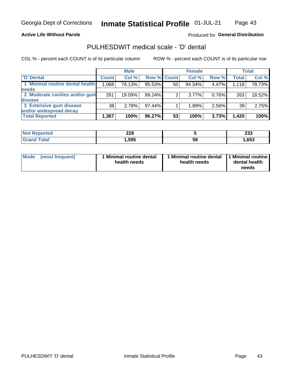### **Active Life Without Parole**

### Produced for General Distribution

## PULHESDWIT medical scale - 'D' dental

COL % - percent each COUNT is of its particular column

|                                 |              | <b>Male</b> |           |                    | <b>Female</b> |       |              | Total  |
|---------------------------------|--------------|-------------|-----------|--------------------|---------------|-------|--------------|--------|
| 'D' Dental                      | <b>Count</b> | Col %       |           | <b>Row % Count</b> | Col %         | Row % | <b>Total</b> | Col %  |
| 1 Minimal routine dental health | 1,068        | 78.13%      | 95.53%    | 50                 | 94.34%        | 4.47% | 1,118        | 78.73% |
| <b>needs</b>                    |              |             |           |                    |               |       |              |        |
| 2 Moderate cavities and/or gum  | 261          | 19.09%      | 99.24%    | 2                  | $3.77\%$      | 0.76% | 263          | 18.52% |
| disease                         |              |             |           |                    |               |       |              |        |
| 3 Extensive gum disease         | 38           | 2.78%       | 97.44%    |                    | 1.89%         | 2.56% | 39           | 2.75%  |
| and/or widespread decay         |              |             |           |                    |               |       |              |        |
| <b>Total Reported</b>           | 1,367        | 100%        | $96.27\%$ | 53                 | 100%          | 3.73% | 1,420        | 100%   |

| prtea<br> | 228  |   | ົດດິດ<br>∠ാാ |
|-----------|------|---|--------------|
| 'ota      | .595 | ວ | .653         |

| <b>Mode</b><br>(most frequent) | <b>Minimal routine dental</b><br>health needs | 1 Minimal routine dental<br>health needs | 1 Minimal routine<br>dental health<br>needs |
|--------------------------------|-----------------------------------------------|------------------------------------------|---------------------------------------------|
|--------------------------------|-----------------------------------------------|------------------------------------------|---------------------------------------------|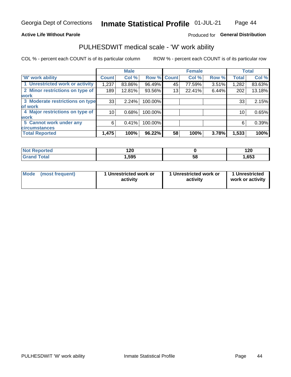### **Active Life Without Parole**

## Produced for General Distribution

## PULHESDWIT medical scale - 'W' work ability

COL % - percent each COUNT is of its particular column

|                                 |              | <b>Male</b> |         |             | <b>Female</b> |       |              | <b>Total</b> |
|---------------------------------|--------------|-------------|---------|-------------|---------------|-------|--------------|--------------|
| <b>W' work ability</b>          | <b>Count</b> | Col %       |         | Row % Count | Col %         | Row % | <b>Total</b> | Col %        |
| 1 Unrestricted work or activity | 1,237        | 83.86%      | 96.49%  | 45          | 77.59%        | 3.51% | 1,282        | 83.63%       |
| 2 Minor restrictions on type of | 189          | 12.81%      | 93.56%  | 13          | 22.41%        | 6.44% | 202          | 13.18%       |
| <b>work</b>                     |              |             |         |             |               |       |              |              |
| 3 Moderate restrictions on type | 33           | 2.24%       | 100.00% |             |               |       | 33           | 2.15%        |
| lof work                        |              |             |         |             |               |       |              |              |
| 4 Major restrictions on type of | 10           | 0.68%       | 100.00% |             |               |       | 10           | 0.65%        |
| <b>work</b>                     |              |             |         |             |               |       |              |              |
| 5 Cannot work under any         | 6            | 0.41%       | 100.00% |             |               |       | 6            | 0.39%        |
| <b>circumstances</b>            |              |             |         |             |               |       |              |              |
| <b>Total Reported</b>           | 1,475        | 100%        | 96.22%  | 58          | 100%          | 3.78% | 1,533        | 100%         |

| 'Not Reported        | חר ו<br>14V |   | חר ו<br>14V |
|----------------------|-------------|---|-------------|
| <b>Total</b><br>Cron | 595,        | ວ | ,653        |

| Mode (most frequent) | 1 Unrestricted work or | 1 Unrestricted work or | 1 Unrestricted   |
|----------------------|------------------------|------------------------|------------------|
|                      | activity               | activity               | work or activity |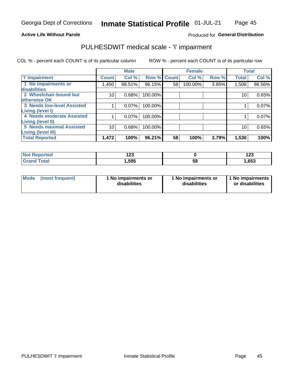### **Active Life Without Parole**

## Produced for General Distribution

## PULHESDWIT medical scale - 'I' impairment

COL % - percent each COUNT is of its particular column ROW % - percent each COUNT is of its particular row

|                                   |              | <b>Male</b> |             |    | <b>Female</b> |       |              | <b>Total</b> |
|-----------------------------------|--------------|-------------|-------------|----|---------------|-------|--------------|--------------|
| <b>T' Impairment</b>              | <b>Count</b> | Col %       | Row % Count |    | Col %         | Row % | <b>Total</b> | Col %        |
| 1 No impairments or               | l,450        | 98.51%      | 96.15%      | 58 | 100.00%       | 3.85% | 1,508        | 98.56%       |
| <b>disabilities</b>               |              |             |             |    |               |       |              |              |
| 2 Wheelchair-bound but            | 10           | 0.68%       | 100.00%     |    |               |       | 10           | 0.65%        |
| otherwise OK                      |              |             |             |    |               |       |              |              |
| <b>3 Needs low-level Assisted</b> |              | 0.07%       | 100.00%     |    |               |       |              | 0.07%        |
| Living (level I)                  |              |             |             |    |               |       |              |              |
| 4 Needs moderate Assisted         |              | 0.07%       | 100.00%     |    |               |       |              | 0.07%        |
| Living (level II)                 |              |             |             |    |               |       |              |              |
| <b>5 Needs maximal Assisted</b>   | 10           | 0.68%       | 100.00%     |    |               |       | 10           | 0.65%        |
| <b>Living (level III)</b>         |              |             |             |    |               |       |              |              |
| <b>Total Reported</b>             | 1,472        | 100%        | 96.21%      | 58 | 100%          | 3.79% | 1,530        | 100%         |

| orted      | י ה<br>14J |    | 100<br>14J |
|------------|------------|----|------------|
| <b>ota</b> | l,595      | ၁၀ | 1,653      |

| Mode | (most frequent) | 1 No impairments or<br>disabilities | 1 No impairments or<br>disabilities | 1 No impairments<br>or disabilities |
|------|-----------------|-------------------------------------|-------------------------------------|-------------------------------------|
|------|-----------------|-------------------------------------|-------------------------------------|-------------------------------------|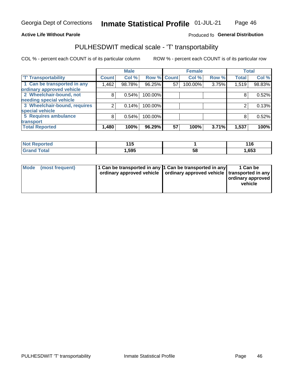### **Active Life Without Parole**

### Produced fo General Distribution

## PULHESDWIT medical scale - 'T' transportability

COL % - percent each COUNT is of its particular column

|                              |              | <b>Male</b> |             |    | <b>Female</b> |       |              | <b>Total</b> |
|------------------------------|--------------|-------------|-------------|----|---------------|-------|--------------|--------------|
| <b>T' Transportability</b>   | <b>Count</b> | Col %       | Row % Count |    | Col %         | Row % | <b>Total</b> | Col %        |
| 1 Can be transported in any  | 1,462        | 98.78%      | 96.25%      | 57 | 100.00%       | 3.75% | 1,519        | 98.83%       |
| ordinary approved vehicle    |              |             |             |    |               |       |              |              |
| 2 Wheelchair-bound, not      | 8            | 0.54%       | 100.00%     |    |               |       |              | 0.52%        |
| needing special vehicle      |              |             |             |    |               |       |              |              |
| 3 Wheelchair-bound, requires |              | 0.14%       | 100.00%     |    |               |       |              | 0.13%        |
| special vehicle              |              |             |             |    |               |       |              |              |
| 5 Requires ambulance         | 8            | 0.54%       | 100.00%     |    |               |       |              | 0.52%        |
| transport                    |              |             |             |    |               |       |              |              |
| <b>Total Reported</b>        | 1,480        | 100%        | 96.29%      | 57 | 100%          | 3.71% | 1,537        | 100%         |

| rted        | 44 F<br>. . |    | 1 4 C<br>$\sqrt{10}$ |
|-------------|-------------|----|----------------------|
| <b>otal</b> | 595. ا      | Ⴢჾ | 653, ا               |

| <b>Mode</b> | (most frequent) | 1 Can be transported in any 1 Can be transported in any | ordinary approved vehicle   ordinary approved vehicle   transported in any | 1 Can be<br>  ordinary approved  <br>vehicle |
|-------------|-----------------|---------------------------------------------------------|----------------------------------------------------------------------------|----------------------------------------------|
|-------------|-----------------|---------------------------------------------------------|----------------------------------------------------------------------------|----------------------------------------------|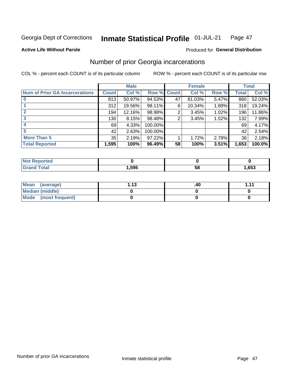#### Inmate Statistical Profile 01-JUL-21 Page 47

**Active Life Without Parole** 

### **Produced for General Distribution**

## Number of prior Georgia incarcerations

COL % - percent each COUNT is of its particular column

|                                       |              | <b>Male</b> |                    |    | <b>Female</b> |       |       | <b>Total</b> |
|---------------------------------------|--------------|-------------|--------------------|----|---------------|-------|-------|--------------|
| <b>Num of Prior GA Incarcerations</b> | <b>Count</b> | Col %       | <b>Row % Count</b> |    | Col %         | Row % | Total | Col %        |
|                                       | 813          | 50.97%      | 94.53%             | 47 | 81.03%        | 5.47% | 860   | 52.03%       |
|                                       | 312          | 19.56%      | 98.11%             | 6  | 10.34%        | 1.89% | 318   | 19.24%       |
|                                       | 194          | 12.16%      | 98.98%             | 2  | 3.45%         | 1.02% | 196   | 11.86%       |
| 3                                     | 130          | 8.15%       | 98.48%             | 2  | 3.45%         | 1.52% | 132   | 7.99%        |
| 4                                     | 69           | 4.33%       | 100.00%            |    |               |       | 69    | 4.17%        |
| 5                                     | 42           | 2.63%       | 100.00%            |    |               |       | 42    | 2.54%        |
| <b>More Than 5</b>                    | 35           | 2.19%       | 97.22%             |    | 1.72%         | 2.78% | 36    | 2.18%        |
| <b>Total Reported</b>                 | 1,595        | 100%        | 96.49%             | 58 | 100%          | 3.51% | 1,653 | 100.0%       |

| <b>orted</b><br>NO               |      |    |      |
|----------------------------------|------|----|------|
| <b>Total</b><br>$\mathbf{v}$ and | ,595 | ວເ | ,653 |

| Mean (average)         | 1 1 2 | .40 | 444 |
|------------------------|-------|-----|-----|
| <b>Median (middle)</b> |       |     |     |
| Mode (most frequent)   |       |     |     |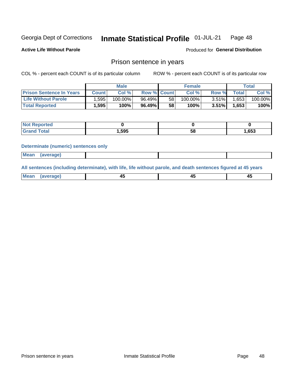#### Inmate Statistical Profile 01-JUL-21 Page 48

**Active Life Without Parole** 

Produced for General Distribution

## Prison sentence in years

COL % - percent each COUNT is of its particular column

ROW % - percent each COUNT is of its particular row

|                                 | <b>Male</b> |            |                    |    | <b>Female</b> | $\tau$ otal |       |         |
|---------------------------------|-------------|------------|--------------------|----|---------------|-------------|-------|---------|
| <b>Prison Sentence In Years</b> | Count       | Col %      | <b>Row % Count</b> |    | Col%          | Row %       | Total | Col %   |
| <b>Life Without Parole</b>      | .595        | $100.00\%$ | 96.49%             | 58 | $100.00\%$    | 3.51%       | 1,653 | 100.00% |
| <b>Total Reported</b>           | 1,595       | 100%       | 96.49%             | 58 | 100%          | 3.51%       | 1.653 | 100%    |

| Reported |      |    |       |
|----------|------|----|-------|
| Total    | ,595 | 58 | 1,653 |

#### **Determinate (numeric) sentences only**

| <b>Mean</b> | (average) |  |  |
|-------------|-----------|--|--|

All sentences (including determinate), with life, life without parole, and death sentences figured at 45 years

| Me<br>.<br> | -- | -- |  |
|-------------|----|----|--|
|             |    |    |  |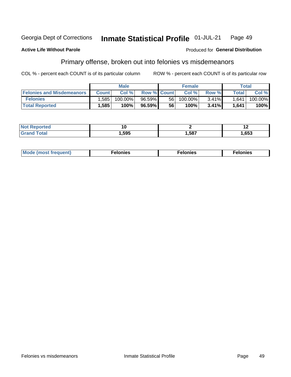#### **Inmate Statistical Profile 01-JUL-21** Georgia Dept of Corrections Page 49

#### **Active Life Without Parole**

#### Produced for General Distribution

## Primary offense, broken out into felonies vs misdemeanors

COL % - percent each COUNT is of its particular column

|                                  | <b>Male</b>  |            |                    | <b>Female</b> |            |          | Total        |         |  |
|----------------------------------|--------------|------------|--------------------|---------------|------------|----------|--------------|---------|--|
| <b>Felonies and Misdemeanors</b> | <b>Count</b> | Col%       | <b>Row % Count</b> |               | Col%       | Row %    | <b>Total</b> | Col %   |  |
| <b>Felonies</b>                  | .585         | $100.00\%$ | 96.59%             | 56            | $100.00\%$ | $3.41\%$ | 1.641        | 100.00% |  |
| <b>Total Reported</b>            | .585         | 100%       | 96.59%             | 56            | 100%       | 3.41%    | 1.641        | 100%    |  |

| <b>Not Reported</b>         | 1 U  |      |      |
|-----------------------------|------|------|------|
| <b>Total</b><br>Gran<br>uuu | ,595 | ,587 | ,653 |

| $Mc$<br>equent)<br>нез<br>$\sim$<br>. | onies<br>. | <b>onies</b><br>. |
|---------------------------------------|------------|-------------------|
|---------------------------------------|------------|-------------------|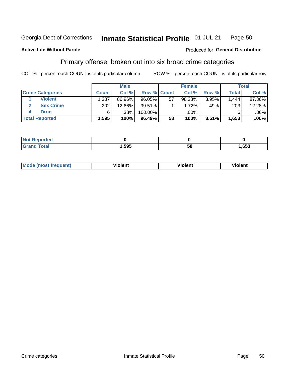#### Inmate Statistical Profile 01-JUL-21 Page 50

### **Active Life Without Parole**

### Produced for General Distribution

## Primary offense, broken out into six broad crime categories

COL % - percent each COUNT is of its particular column

|                         | <b>Male</b>  |        |                    |    | <b>Female</b> |       |                  | Total  |  |
|-------------------------|--------------|--------|--------------------|----|---------------|-------|------------------|--------|--|
| <b>Crime Categories</b> | <b>Count</b> | Col %  | <b>Row % Count</b> |    | Col %         | Row % | <b>Total</b>     | Col %  |  |
| <b>Violent</b>          | 1,387        | 86.96% | 96.05%             | 57 | 98.28%        | 3.95% | 1.444            | 87.36% |  |
| <b>Sex Crime</b>        | 202          | 12.66% | 99.51%             |    | 1.72%         | .49%  | 203 <sub>1</sub> | 12.28% |  |
| <b>Drug</b>             | 6            | .38%   | 100.00%            |    | .00%          |       |                  | .36%   |  |
| <b>Total Reported</b>   | 1.595        | 100%   | 96.49%             | 58 | 100%          | 3.51% | 1,653            | 100%   |  |

| .           |      |    |      |
|-------------|------|----|------|
| -<br>______ | .595 | 58 | .653 |

| <b>Mode (most frequent)</b> | .             |         | .     |
|-----------------------------|---------------|---------|-------|
|                             | <b>ïolent</b> | ∕iolent | ∍lent |
|                             |               |         |       |
|                             |               |         |       |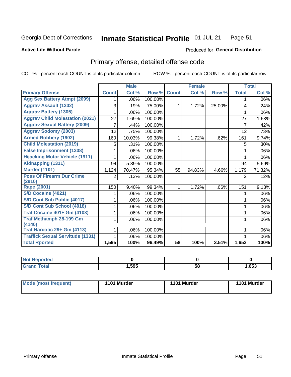#### Inmate Statistical Profile 01-JUL-21 Page 51

#### **Active Life Without Parole**

### **Produced for General Distribution**

## Primary offense, detailed offense code

COL % - percent each COUNT is of its particular column

|                                         |                | <b>Male</b>                |         |              | <b>Female</b> |        |              | <b>Total</b> |
|-----------------------------------------|----------------|----------------------------|---------|--------------|---------------|--------|--------------|--------------|
| <b>Primary Offense</b>                  | <b>Count</b>   | $\overline{\text{Col }^9}$ | Row %   | <b>Count</b> | Col %         | Row %  | <b>Total</b> | Col %        |
| <b>Agg Sex Battery Atmpt (2099)</b>     |                | .06%                       | 100.00% |              |               |        | 1            | .06%         |
| <b>Aggrav Assault (1302)</b>            | 3              | .19%                       | 75.00%  | 1            | 1.72%         | 25.00% | 4            | .24%         |
| <b>Aggrav Battery (1305)</b>            |                | .06%                       | 100.00% |              |               |        |              | .06%         |
| <b>Aggrav Child Molestation (2021)</b>  | 27             | 1.69%                      | 100.00% |              |               |        | 27           | 1.63%        |
| <b>Aggrav Sexual Battery (2009)</b>     | 7              | .44%                       | 100.00% |              |               |        | 7            | .42%         |
| <b>Aggrav Sodomy (2003)</b>             | 12             | .75%                       | 100.00% |              |               |        | 12           | .73%         |
| <b>Armed Robbery (1902)</b>             | 160            | 10.03%                     | 99.38%  | 1            | 1.72%         | .62%   | 161          | 9.74%        |
| <b>Child Molestation (2019)</b>         | 5              | .31%                       | 100.00% |              |               |        | 5            | .30%         |
| <b>False Imprisonment (1308)</b>        |                | .06%                       | 100.00% |              |               |        |              | .06%         |
| <b>Hijacking Motor Vehicle (1911)</b>   |                | .06%                       | 100.00% |              |               |        |              | .06%         |
| Kidnapping (1311)                       | 94             | 5.89%                      | 100.00% |              |               |        | 94           | 5.69%        |
| <b>Murder (1101)</b>                    | 1,124          | 70.47%                     | 95.34%  | 55           | 94.83%        | 4.66%  | 1,179        | 71.32%       |
| <b>Poss Of Firearm Dur Crime</b>        | $\overline{2}$ | .13%                       | 100.00% |              |               |        | 2            | .12%         |
| (2910)                                  |                |                            |         |              |               |        |              |              |
| <b>Rape (2001)</b>                      | 150            | 9.40%                      | 99.34%  | 1            | 1.72%         | .66%   | 151          | 9.13%        |
| <b>S/D Cocaine (4021)</b>               |                | .06%                       | 100.00% |              |               |        |              | .06%         |
| S/D Cont Sub Public (4017)              |                | .06%                       | 100.00% |              |               |        |              | .06%         |
| S/D Cont Sub School (4018)              |                | .06%                       | 100.00% |              |               |        | 1            | .06%         |
| <b>Traf Cocaine 401+ Gm (4103)</b>      |                | .06%                       | 100.00% |              |               |        | 1            | .06%         |
| <b>Traf Methamph 28-199 Gm</b>          | 1              | .06%                       | 100.00% |              |               |        | 1            | .06%         |
| (4140)                                  |                |                            |         |              |               |        |              |              |
| Traf Narcotic 29+ Gm (4113)             |                | .06%                       | 100.00% |              |               |        |              | .06%         |
| <b>Traffick Sexual Servitude (1331)</b> |                | .06%                       | 100.00% |              |               |        |              | .06%         |
| <b>Total Rported</b>                    | 1,595          | 100%                       | 96.49%  | 58           | 100%          | 3.51%  | 1,653        | 100%         |

| <b>ported?</b> |      |    |      |
|----------------|------|----|------|
| <b>Total</b>   | ,595 | 58 | ,653 |

| Mode (most frequent) | 1101 Murder | 1101 Murder | 1101 Murder |
|----------------------|-------------|-------------|-------------|
|----------------------|-------------|-------------|-------------|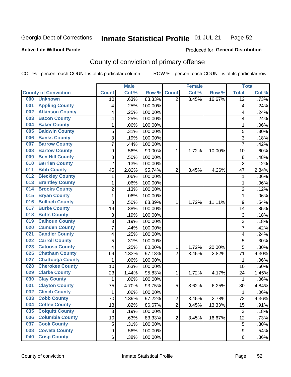#### Inmate Statistical Profile 01-JUL-21 Page 52

### **Active Life Without Parole**

## Produced for General Distribution

## County of conviction of primary offense

COL % - percent each COUNT is of its particular column

|                                |                | <b>Male</b> |         |                | <b>Female</b> |        |                         | <b>Total</b> |
|--------------------------------|----------------|-------------|---------|----------------|---------------|--------|-------------------------|--------------|
| <b>County of Conviction</b>    | <b>Count</b>   | Col %       | Row %   | <b>Count</b>   | Col %         | Row %  | <b>Total</b>            | Col %        |
| 000<br><b>Unknown</b>          | 10             | .63%        | 83.33%  | 2              | 3.45%         | 16.67% | $\overline{12}$         | .73%         |
| <b>Appling County</b><br>001   | 4              | .25%        | 100.00% |                |               |        | $\overline{\mathbf{4}}$ | .24%         |
| <b>Atkinson County</b><br>002  | 4              | .25%        | 100.00% |                |               |        | 4                       | .24%         |
| <b>Bacon County</b><br>003     | 4              | .25%        | 100.00% |                |               |        | 4                       | .24%         |
| <b>Baker County</b><br>004     | 1              | .06%        | 100.00% |                |               |        | 1                       | .06%         |
| <b>Baldwin County</b><br>005   | 5              | .31%        | 100.00% |                |               |        | 5                       | .30%         |
| <b>Banks County</b><br>006     | 3              | .19%        | 100.00% |                |               |        | 3                       | .18%         |
| <b>Barrow County</b><br>007    | $\overline{7}$ | .44%        | 100.00% |                |               |        | $\overline{7}$          | .42%         |
| <b>Bartow County</b><br>008    | 9              | .56%        | 90.00%  | 1              | 1.72%         | 10.00% | 10                      | .60%         |
| <b>Ben Hill County</b><br>009  | 8              | .50%        | 100.00% |                |               |        | 8                       | .48%         |
| <b>Berrien County</b><br>010   | $\overline{c}$ | .13%        | 100.00% |                |               |        | $\overline{c}$          | .12%         |
| <b>Bibb County</b><br>011      | 45             | 2.82%       | 95.74%  | $\overline{2}$ | 3.45%         | 4.26%  | 47                      | 2.84%        |
| <b>Bleckley County</b><br>012  | 1              | .06%        | 100.00% |                |               |        | $\mathbf{1}$            | .06%         |
| <b>Brantley County</b><br>013  | 1              | .06%        | 100.00% |                |               |        | 1                       | .06%         |
| <b>Brooks County</b><br>014    | $\overline{c}$ | .13%        | 100.00% |                |               |        | $\overline{c}$          | .12%         |
| <b>Bryan County</b><br>015     | 1              | .06%        | 100.00% |                |               |        | $\mathbf{1}$            | .06%         |
| <b>Bulloch County</b><br>016   | 8              | .50%        | 88.89%  | 1              | 1.72%         | 11.11% | 9                       | .54%         |
| <b>Burke County</b><br>017     | 14             | .88%        | 100.00% |                |               |        | 14                      | .85%         |
| <b>Butts County</b><br>018     | 3              | .19%        | 100.00% |                |               |        | 3                       | .18%         |
| <b>Calhoun County</b><br>019   | $\overline{3}$ | .19%        | 100.00% |                |               |        | $\overline{3}$          | .18%         |
| <b>Camden County</b><br>020    | 7              | .44%        | 100.00% |                |               |        | $\overline{7}$          | .42%         |
| <b>Candler County</b><br>021   | 4              | .25%        | 100.00% |                |               |        | 4                       | .24%         |
| <b>Carroll County</b><br>022   | 5              | .31%        | 100.00% |                |               |        | 5                       | .30%         |
| <b>Catoosa County</b><br>023   | 4              | .25%        | 80.00%  | 1              | 1.72%         | 20.00% | 5                       | .30%         |
| <b>Chatham County</b><br>025   | 69             | 4.33%       | 97.18%  | $\overline{2}$ | 3.45%         | 2.82%  | 71                      | 4.30%        |
| <b>Chattooga County</b><br>027 | 1              | .06%        | 100.00% |                |               |        | $\mathbf{1}$            | .06%         |
| <b>Cherokee County</b><br>028  | 10             | .63%        | 100.00% |                |               |        | 10                      | .60%         |
| <b>Clarke County</b><br>029    | 23             | 1.44%       | 95.83%  | 1              | 1.72%         | 4.17%  | 24                      | 1.45%        |
| <b>Clay County</b><br>030      | $\mathbf{1}$   | .06%        | 100.00% |                |               |        | 1                       | .06%         |
| <b>Clayton County</b><br>031   | 75             | 4.70%       | 93.75%  | 5              | 8.62%         | 6.25%  | 80                      | 4.84%        |
| <b>Clinch County</b><br>032    | 1              | .06%        | 100.00% |                |               |        | 1                       | .06%         |
| <b>Cobb County</b><br>033      | 70             | 4.39%       | 97.22%  | 2              | 3.45%         | 2.78%  | 72                      | 4.36%        |
| <b>Coffee County</b><br>034    | 13             | .82%        | 86.67%  | $\overline{2}$ | 3.45%         | 13.33% | 15                      | .91%         |
| 035<br><b>Colquitt County</b>  | $\sqrt{3}$     | .19%        | 100.00% |                |               |        | $\mathbf{3}$            | .18%         |
| <b>Columbia County</b><br>036  | 10             | .63%        | 83.33%  | $\overline{2}$ | 3.45%         | 16.67% | 12                      | .73%         |
| <b>Cook County</b><br>037      | 5              | .31%        | 100.00% |                |               |        | 5                       | .30%         |
| <b>Coweta County</b><br>038    | 9              | .56%        | 100.00% |                |               |        | $\boldsymbol{9}$        | .54%         |
| <b>Crisp County</b><br>040     | 6              | .38%        | 100.00% |                |               |        | 6                       | .36%         |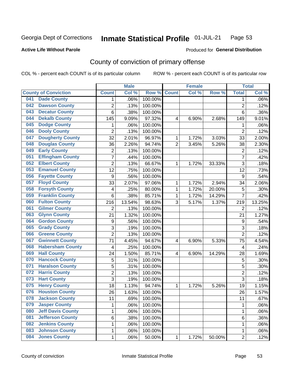#### Inmate Statistical Profile 01-JUL-21 Page 53

### **Active Life Without Parole**

#### Produced for General Distribution

## County of conviction of primary offense

COL % - percent each COUNT is of its particular column

|     |                             |                  | <b>Male</b> |         |                | <b>Female</b> |        |                  | <b>Total</b> |
|-----|-----------------------------|------------------|-------------|---------|----------------|---------------|--------|------------------|--------------|
|     | <b>County of Conviction</b> | <b>Count</b>     | Col %       | Row %   | <b>Count</b>   | Col %         | Row %  | <b>Total</b>     | Col %        |
| 041 | <b>Dade County</b>          | 1                | .06%        | 100.00% |                |               |        | 1                | .06%         |
| 042 | <b>Dawson County</b>        | $\overline{2}$   | .13%        | 100.00% |                |               |        | $\overline{2}$   | .12%         |
| 043 | <b>Decatur County</b>       | 6                | .38%        | 100.00% |                |               |        | 6                | .36%         |
| 044 | <b>Dekalb County</b>        | 145              | 9.09%       | 97.32%  | 4              | 6.90%         | 2.68%  | 149              | 9.01%        |
| 045 | <b>Dodge County</b>         | 1                | .06%        | 100.00% |                |               |        | 1                | .06%         |
| 046 | <b>Dooly County</b>         | $\overline{2}$   | .13%        | 100.00% |                |               |        | $\overline{2}$   | .12%         |
| 047 | <b>Dougherty County</b>     | 32               | 2.01%       | 96.97%  | 1              | 1.72%         | 3.03%  | 33               | 2.00%        |
| 048 | <b>Douglas County</b>       | 36               | 2.26%       | 94.74%  | $\overline{2}$ | 3.45%         | 5.26%  | 38               | 2.30%        |
| 049 | <b>Early County</b>         | $\overline{c}$   | .13%        | 100.00% |                |               |        | $\overline{2}$   | .12%         |
| 051 | <b>Effingham County</b>     | 7                | .44%        | 100.00% |                |               |        | $\overline{7}$   | .42%         |
| 052 | <b>Elbert County</b>        | $\overline{c}$   | .13%        | 66.67%  | 1              | 1.72%         | 33.33% | 3                | .18%         |
| 053 | <b>Emanuel County</b>       | $\overline{12}$  | .75%        | 100.00% |                |               |        | 12               | .73%         |
| 056 | <b>Fayette County</b>       | $\boldsymbol{9}$ | .56%        | 100.00% |                |               |        | 9                | .54%         |
| 057 | <b>Floyd County</b>         | 33               | 2.07%       | 97.06%  | 1              | 1.72%         | 2.94%  | 34               | 2.06%        |
| 058 | <b>Forsyth County</b>       | 4                | .25%        | 80.00%  | 1              | 1.72%         | 20.00% | 5                | .30%         |
| 059 | <b>Franklin County</b>      | 6                | .38%        | 85.71%  | 1              | 1.72%         | 14.29% | 7                | .42%         |
| 060 | <b>Fulton County</b>        | 216              | 13.54%      | 98.63%  | 3              | 5.17%         | 1.37%  | 219              | 13.25%       |
| 061 | <b>Gilmer County</b>        | $\overline{2}$   | .13%        | 100.00% |                |               |        | $\overline{2}$   | .12%         |
| 063 | <b>Glynn County</b>         | 21               | 1.32%       | 100.00% |                |               |        | 21               | 1.27%        |
| 064 | <b>Gordon County</b>        | $\boldsymbol{9}$ | .56%        | 100.00% |                |               |        | $\boldsymbol{9}$ | .54%         |
| 065 | <b>Grady County</b>         | 3                | .19%        | 100.00% |                |               |        | 3                | .18%         |
| 066 | <b>Greene County</b>        | $\overline{2}$   | .13%        | 100.00% |                |               |        | $\overline{2}$   | .12%         |
| 067 | <b>Gwinnett County</b>      | 71               | 4.45%       | 94.67%  | 4              | 6.90%         | 5.33%  | 75               | 4.54%        |
| 068 | <b>Habersham County</b>     | $\overline{4}$   | .25%        | 100.00% |                |               |        | 4                | .24%         |
| 069 | <b>Hall County</b>          | 24               | 1.50%       | 85.71%  | 4              | 6.90%         | 14.29% | 28               | 1.69%        |
| 070 | <b>Hancock County</b>       | 5                | .31%        | 100.00% |                |               |        | 5                | .30%         |
| 071 | <b>Haralson County</b>      | 5                | .31%        | 100.00% |                |               |        | 5                | .30%         |
| 072 | <b>Harris County</b>        | $\overline{2}$   | .13%        | 100.00% |                |               |        | $\overline{2}$   | .12%         |
| 073 | <b>Hart County</b>          | 3                | .19%        | 100.00% |                |               |        | 3                | .18%         |
| 075 | <b>Henry County</b>         | 18               | 1.13%       | 94.74%  | 1              | 1.72%         | 5.26%  | 19               | 1.15%        |
| 076 | <b>Houston County</b>       | 26               | 1.63%       | 100.00% |                |               |        | 26               | 1.57%        |
| 078 | <b>Jackson County</b>       | 11               | .69%        | 100.00% |                |               |        | 11               | $.67\%$      |
| 079 | <b>Jasper County</b>        | $\mathbf{1}$     | .06%        | 100.00% |                |               |        | $\mathbf{1}$     | .06%         |
| 080 | <b>Jeff Davis County</b>    | 1                | .06%        | 100.00% |                |               |        | $\mathbf{1}$     | .06%         |
| 081 | <b>Jefferson County</b>     | 6                | .38%        | 100.00% |                |               |        | 6                | .36%         |
| 082 | <b>Jenkins County</b>       | 1                | .06%        | 100.00% |                |               |        | 1                | .06%         |
| 083 | <b>Johnson County</b>       | $\mathbf 1$      | .06%        | 100.00% |                |               |        | 1                | .06%         |
| 084 | <b>Jones County</b>         | $\mathbf 1$      | .06%        | 50.00%  | 1              | 1.72%         | 50.00% | $\overline{2}$   | .12%         |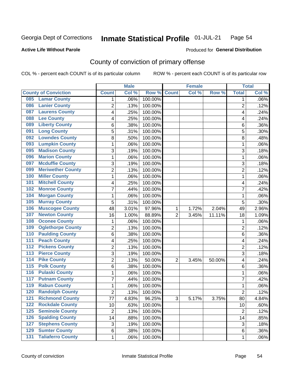#### Inmate Statistical Profile 01-JUL-21 Page 54

**Active Life Without Parole** 

Produced for General Distribution

## County of conviction of primary offense

COL % - percent each COUNT is of its particular column

|                  |                             |                 | <b>Male</b> |                  |                | <b>Female</b> |        |                 | <b>Total</b> |
|------------------|-----------------------------|-----------------|-------------|------------------|----------------|---------------|--------|-----------------|--------------|
|                  | <b>County of Conviction</b> | <b>Count</b>    | Col %       | Row <sup>%</sup> | <b>Count</b>   | Col %         | Row %  | <b>Total</b>    | Col %        |
| 085              | <b>Lamar County</b>         | 1               | .06%        | 100.00%          |                |               |        | 1               | .06%         |
| 086              | <b>Lanier County</b>        | $\overline{2}$  | .13%        | 100.00%          |                |               |        | $\overline{2}$  | .12%         |
| 087              | <b>Laurens County</b>       | 4               | .25%        | 100.00%          |                |               |        | 4               | .24%         |
| 088              | <b>Lee County</b>           | 4               | .25%        | 100.00%          |                |               |        | 4               | .24%         |
| 089              | <b>Liberty County</b>       | 6               | .38%        | 100.00%          |                |               |        | 6               | .36%         |
| 091              | <b>Long County</b>          | 5               | .31%        | 100.00%          |                |               |        | 5               | .30%         |
| 092              | <b>Lowndes County</b>       | 8               | .50%        | 100.00%          |                |               |        | 8               | .48%         |
| 093              | <b>Lumpkin County</b>       | 1               | .06%        | 100.00%          |                |               |        | 1               | .06%         |
| 095              | <b>Madison County</b>       | 3               | .19%        | 100.00%          |                |               |        | 3               | .18%         |
| 096              | <b>Marion County</b>        | 1               | .06%        | 100.00%          |                |               |        | 1               | .06%         |
| 097              | <b>Mcduffie County</b>      | 3               | .19%        | 100.00%          |                |               |        | 3               | .18%         |
| 099              | <b>Meriwether County</b>    | $\overline{2}$  | .13%        | 100.00%          |                |               |        | $\overline{2}$  | .12%         |
| 100              | <b>Miller County</b>        | 1               | .06%        | 100.00%          |                |               |        | 1               | .06%         |
| 101              | <b>Mitchell County</b>      | 4               | .25%        | 100.00%          |                |               |        | 4               | .24%         |
| 102              | <b>Monroe County</b>        | 7               | .44%        | 100.00%          |                |               |        | $\overline{7}$  | .42%         |
| 104              | <b>Morgan County</b>        | 1               | .06%        | 100.00%          |                |               |        | 1               | .06%         |
| 105              | <b>Murray County</b>        | 5               | .31%        | 100.00%          |                |               |        | 5               | .30%         |
| 106              | <b>Muscogee County</b>      | 48              | 3.01%       | 97.96%           | 1              | 1.72%         | 2.04%  | 49              | 2.96%        |
| 107              | <b>Newton County</b>        | 16              | 1.00%       | 88.89%           | $\overline{2}$ | 3.45%         | 11.11% | 18              | 1.09%        |
| 108              | <b>Oconee County</b>        | 1               | .06%        | 100.00%          |                |               |        | 1               | .06%         |
| 109              | <b>Oglethorpe County</b>    | $\overline{2}$  | .13%        | 100.00%          |                |               |        | $\overline{2}$  | .12%         |
| 110              | <b>Paulding County</b>      | 6               | .38%        | 100.00%          |                |               |        | 6               | .36%         |
| 111              | <b>Peach County</b>         | 4               | .25%        | 100.00%          |                |               |        | 4               | .24%         |
| 112              | <b>Pickens County</b>       | $\overline{2}$  | .13%        | 100.00%          |                |               |        | $\overline{2}$  | .12%         |
| 113              | <b>Pierce County</b>        | 3               | .19%        | 100.00%          |                |               |        | 3               | .18%         |
| $\overline{114}$ | <b>Pike County</b>          | $\overline{2}$  | .13%        | 50.00%           | $\overline{2}$ | 3.45%         | 50.00% | 4               | .24%         |
| $\overline{115}$ | <b>Polk County</b>          | 6               | .38%        | 100.00%          |                |               |        | 6               | .36%         |
| 116              | <b>Pulaski County</b>       | 1               | .06%        | 100.00%          |                |               |        | 1               | .06%         |
| 117              | <b>Putnam County</b>        | 7               | .44%        | 100.00%          |                |               |        | $\overline{7}$  | .42%         |
| 119              | <b>Rabun County</b>         | 1               | .06%        | 100.00%          |                |               |        | 1               | .06%         |
| 120              | <b>Randolph County</b>      | $\overline{2}$  | .13%        | 100.00%          |                |               |        | $\overline{2}$  | .12%         |
|                  | <b>121 Richmond County</b>  | $\overline{77}$ | 4.83%       | 96.25%           | 3              | 5.17%         | 3.75%  | $\overline{80}$ | 4.84%        |
| 122              | <b>Rockdale County</b>      | 10              | .63%        | 100.00%          |                |               |        | 10              | .60%         |
| $125$            | <b>Seminole County</b>      | $\overline{2}$  | .13%        | 100.00%          |                |               |        | $\overline{2}$  | .12%         |
| 126              | <b>Spalding County</b>      | 14              | .88%        | 100.00%          |                |               |        | 14              | .85%         |
| 127              | <b>Stephens County</b>      | 3               | .19%        | 100.00%          |                |               |        | 3               | .18%         |
| 129              | <b>Sumter County</b>        | 6               | .38%        | 100.00%          |                |               |        | 6               | .36%         |
| 131              | <b>Taliaferro County</b>    | 1               | .06%        | 100.00%          |                |               |        | 1               | .06%         |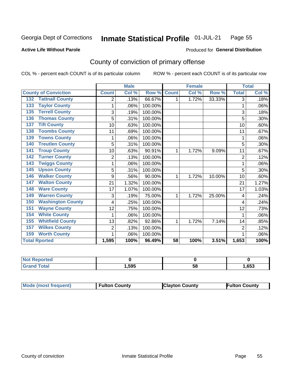#### **Inmate Statistical Profile 01-JUL-21** Page 55

**Active Life Without Parole** 

Produced for General Distribution

## County of conviction of primary offense

COL % - percent each COUNT is of its particular column

|                                 |                | <b>Male</b> |         |                 | <b>Female</b> |        |                | <b>Total</b> |
|---------------------------------|----------------|-------------|---------|-----------------|---------------|--------|----------------|--------------|
| <b>County of Conviction</b>     | <b>Count</b>   | Col %       | Row %   | <b>Count</b>    | Col %         | Row %  | <b>Total</b>   | Col %        |
| <b>Tattnall County</b><br>132   | 2              | .13%        | 66.67%  | 1               | 1.72%         | 33.33% | 3              | .18%         |
| <b>Taylor County</b><br>133     | 1              | .06%        | 100.00% |                 |               |        | 1              | .06%         |
| <b>Terrell County</b><br>135    | 3              | .19%        | 100.00% |                 |               |        | 3              | .18%         |
| <b>Thomas County</b><br>136     | 5              | .31%        | 100.00% |                 |               |        | 5              | .30%         |
| <b>Tift County</b><br>137       | 10             | .63%        | 100.00% |                 |               |        | 10             | .60%         |
| <b>Toombs County</b><br>138     | 11             | .69%        | 100.00% |                 |               |        | 11             | .67%         |
| <b>Towns County</b><br>139      |                | .06%        | 100.00% |                 |               |        | 1              | .06%         |
| <b>Treutlen County</b><br>140   | 5              | .31%        | 100.00% |                 |               |        | 5              | .30%         |
| <b>Troup County</b><br>141      | 10             | .63%        | 90.91%  | 1               | 1.72%         | 9.09%  | 11             | .67%         |
| <b>Turner County</b><br>142     | 2              | .13%        | 100.00% |                 |               |        | $\overline{2}$ | .12%         |
| <b>Twiggs County</b><br>143     |                | .06%        | 100.00% |                 |               |        | 1              | .06%         |
| <b>Upson County</b><br>145      | 5              | .31%        | 100.00% |                 |               |        | 5              | .30%         |
| <b>Walker County</b><br>146     | 9              | .56%        | 90.00%  | 1               | 1.72%         | 10.00% | 10             | .60%         |
| <b>Walton County</b><br>147     | 21             | 1.32%       | 100.00% |                 |               |        | 21             | 1.27%        |
| <b>Ware County</b><br>148       | 17             | 1.07%       | 100.00% |                 |               |        | 17             | 1.03%        |
| <b>Warren County</b><br>149     | 3              | .19%        | 75.00%  | 1               | 1.72%         | 25.00% | 4              | .24%         |
| <b>Washington County</b><br>150 | 4              | .25%        | 100.00% |                 |               |        | 4              | .24%         |
| <b>Wayne County</b><br>151      | 12             | .75%        | 100.00% |                 |               |        | 12             | .73%         |
| <b>White County</b><br>154      | 1              | .06%        | 100.00% |                 |               |        | 1              | .06%         |
| <b>Whitfield County</b><br>155  | 13             | .82%        | 92.86%  | 1               | 1.72%         | 7.14%  | 14             | .85%         |
| <b>Wilkes County</b><br>157     | $\overline{c}$ | .13%        | 100.00% |                 |               |        | $\overline{2}$ | .12%         |
| <b>Worth County</b><br>159      |                | .06%        | 100.00% |                 |               |        |                | .06%         |
| <b>Total Rported</b>            | 1,595          | 100%        | 96.49%  | $\overline{58}$ | 100%          | 3.51%  | 1,653          | 100%         |

| <b>Not Reported</b> |      |    |      |
|---------------------|------|----|------|
| Total               | .595 | ບເ | ,653 |

| <b>Mode (most frequent)</b> | <b>Fulton County</b> | <b>Clayton County</b> | <b>Fulton County</b> |
|-----------------------------|----------------------|-----------------------|----------------------|
|-----------------------------|----------------------|-----------------------|----------------------|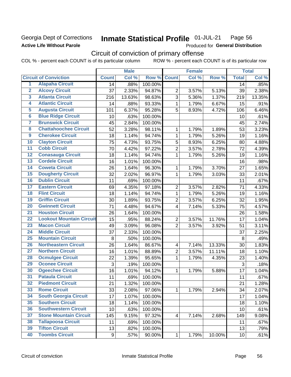## Georgia Dept of Corrections **Active Life Without Parole**

#### Inmate Statistical Profile 01-JUL-21 Page 56

Produced for General Distribution

## Circuit of conviction of primary offense

COL % - percent each COUNT is of its particular column ROW % - percent each COUNT is of its particular row

|                         |                                 |              | <b>Male</b> |         |                | <b>Female</b> |        |                 | <b>Total</b> |
|-------------------------|---------------------------------|--------------|-------------|---------|----------------|---------------|--------|-----------------|--------------|
|                         | <b>Circuit of Conviction</b>    | <b>Count</b> | Col %       | Row %   | <b>Count</b>   | Col %         | Row %  | <b>Total</b>    | Col%         |
| 1                       | <b>Alapaha Circuit</b>          | 14           | .88%        | 100.00% |                |               |        | 14              | .85%         |
| $\overline{2}$          | <b>Alcovy Circuit</b>           | 37           | 2.33%       | 94.87%  | $\overline{2}$ | 3.57%         | 5.13%  | 39              | 2.38%        |
| $\overline{\mathbf{3}}$ | <b>Atlanta Circuit</b>          | 216          | 13.63%      | 98.63%  | $\overline{3}$ | 5.36%         | 1.37%  | 219             | 13.35%       |
| 4                       | <b>Atlantic Circuit</b>         | 14           | .88%        | 93.33%  | 1              | 1.79%         | 6.67%  | 15              | .91%         |
| 5                       | <b>Augusta Circuit</b>          | 101          | 6.37%       | 95.28%  | 5              | 8.93%         | 4.72%  | 106             | 6.46%        |
| $\overline{\mathbf{6}}$ | <b>Blue Ridge Circuit</b>       | 10           | .63%        | 100.00% |                |               |        | 10              | .61%         |
| 7                       | <b>Brunswick Circuit</b>        | 45           | 2.84%       | 100.00% |                |               |        | 45              | 2.74%        |
| 8                       | <b>Chattahoochee Circuit</b>    | 52           | 3.28%       | 98.11%  | 1              | 1.79%         | 1.89%  | 53              | 3.23%        |
| $\overline{9}$          | <b>Cherokee Circuit</b>         | 18           | 1.14%       | 94.74%  | $\mathbf{1}$   | 1.79%         | 5.26%  | 19              | 1.16%        |
| 10                      | <b>Clayton Circuit</b>          | 75           | 4.73%       | 93.75%  | 5              | 8.93%         | 6.25%  | 80              | 4.88%        |
| $\overline{11}$         | <b>Cobb Circuit</b>             | 70           | 4.42%       | 97.22%  | $\overline{2}$ | 3.57%         | 2.78%  | 72              | 4.39%        |
| $\overline{12}$         | <b>Conasauga Circuit</b>        | 18           | 1.14%       | 94.74%  | 1              | 1.79%         | 5.26%  | 19              | 1.16%        |
| $\overline{13}$         | <b>Cordele Circuit</b>          | 16           | 1.01%       | 100.00% |                |               |        | 16              | .98%         |
| $\overline{14}$         | <b>Coweta Circuit</b>           | 26           | 1.64%       | 96.30%  | 1              | 1.79%         | 3.70%  | 27              | 1.65%        |
| $\overline{15}$         | <b>Dougherty Circuit</b>        | 32           | 2.02%       | 96.97%  | $\mathbf{1}$   | 1.79%         | 3.03%  | 33              | 2.01%        |
| 16                      | <b>Dublin Circuit</b>           | 11           | .69%        | 100.00% |                |               |        | 11              | .67%         |
| $\overline{17}$         | <b>Eastern Circuit</b>          | 69           | 4.35%       | 97.18%  | $\overline{2}$ | 3.57%         | 2.82%  | 71              | 4.33%        |
| 18                      | <b>Flint Circuit</b>            | 18           | 1.14%       | 94.74%  | $\mathbf{1}$   | 1.79%         | 5.26%  | 19              | 1.16%        |
| 19                      | <b>Griffin Circuit</b>          | 30           | 1.89%       | 93.75%  | $\overline{2}$ | 3.57%         | 6.25%  | 32              | 1.95%        |
| $\overline{20}$         | <b>Gwinnett Circuit</b>         | 71           | 4.48%       | 94.67%  | 4              | 7.14%         | 5.33%  | 75              | 4.57%        |
| $\overline{21}$         | <b>Houston Circuit</b>          | 26           | 1.64%       | 100.00% |                |               |        | 26              | 1.58%        |
| $\overline{22}$         | <b>Lookout Mountain Circuit</b> | 15           | .95%        | 88.24%  | $\overline{2}$ | 3.57%         | 11.76% | 17              | 1.04%        |
| 23                      | <b>Macon Circuit</b>            | 49           | 3.09%       | 96.08%  | $\overline{2}$ | 3.57%         | 3.92%  | 51              | 3.11%        |
| $\overline{24}$         | <b>Middle Circuit</b>           | 37           | 2.33%       | 100.00% |                |               |        | 37              | 2.25%        |
| $\overline{25}$         | <b>Mountain Circuit</b>         | 8            | .50%        | 100.00% |                |               |        | 8               | .49%         |
| 26                      | <b>Northeastern Circuit</b>     | 26           | 1.64%       | 86.67%  | 4              | 7.14%         | 13.33% | 30              | 1.83%        |
| $\overline{27}$         | <b>Northern Circuit</b>         | 16           | 1.01%       | 88.89%  | $\overline{2}$ | 3.57%         | 11.11% | 18              | 1.10%        |
| 28                      | <b>Ocmulgee Circuit</b>         | 22           | 1.39%       | 95.65%  | 1              | 1.79%         | 4.35%  | 23              | 1.40%        |
| 29                      | <b>Oconee Circuit</b>           | 3            | .19%        | 100.00% |                |               |        | 3               | .18%         |
| 30                      | <b>Ogeechee Circuit</b>         | 16           | 1.01%       | 94.12%  | 1              | 1.79%         | 5.88%  | 17              | 1.04%        |
| $\overline{31}$         | <b>Pataula Circuit</b>          | 11           | .69%        | 100.00% |                |               |        | 11              | .67%         |
| 32                      | <b>Piedmont Circuit</b>         | 21           | 1.32%       | 100.00% |                |               |        | 21              | 1.28%        |
| 33                      | <b>Rome Circuit</b>             | 33           | 2.08%       | 97.06%  | $\mathbf{1}$   | 1.79%         | 2.94%  | 34              | 2.07%        |
| 34                      | <b>South Georgia Circuit</b>    | 17           | 1.07%       | 100.00% |                |               |        | 17              | 1.04%        |
| 35                      | <b>Southern Circuit</b>         | 18           | 1.14%       | 100.00% |                |               |        | 18              | 1.10%        |
| 36                      | <b>Southwestern Circuit</b>     | 10           | .63%        | 100.00% |                |               |        | 10              | .61%         |
| 37                      | <b>Stone Mountain Circuit</b>   | 145          | 9.15%       | 97.32%  | 4              | 7.14%         | 2.68%  | 149             | 9.08%        |
| 38                      | <b>Tallapoosa Circuit</b>       | 11           | .69%        | 100.00% |                |               |        | 11              | .67%         |
| 39                      | <b>Tifton Circuit</b>           | 13           | .82%        | 100.00% |                |               |        | 13              | .79%         |
| 40                      | <b>Toombs Circuit</b>           | 9            | .57%        | 90.00%  | $\mathbf{1}$   | 1.79%         | 10.00% | 10 <sup>1</sup> | .61%         |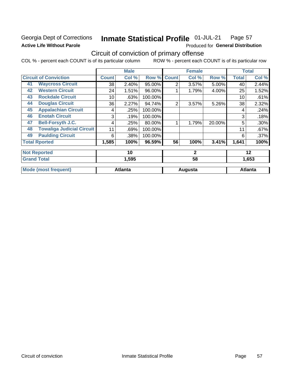## Georgia Dept of Corrections **Active Life Without Parole**

#### Inmate Statistical Profile 01-JUL-21 Page 57

Produced for General Distribution

## Circuit of conviction of primary offense

COL % - percent each COUNT is of its particular column ROW % - percent each COUNT is of its particular row

|    |                                  |              | <b>Male</b>    |         |                | <b>Female</b> |        |              | <b>Total</b>   |
|----|----------------------------------|--------------|----------------|---------|----------------|---------------|--------|--------------|----------------|
|    | <b>Circuit of Conviction</b>     | <b>Count</b> | Col %          | Row %   | <b>Count</b>   | Col %         | Row %  | <b>Total</b> | Col %          |
| 41 | <b>Waycross Circuit</b>          | 38           | 2.40%          | 95.00%  | $\overline{2}$ | 3.57%         | 5.00%  | 40           | 2.44%          |
| 42 | <b>Western Circuit</b>           | 24           | 1.51%          | 96.00%  |                | 1.79%         | 4.00%  | 25           | 1.52%          |
| 43 | <b>Rockdale Circuit</b>          | 10           | .63%           | 100.00% |                |               |        | 10           | .61%           |
| 44 | <b>Douglas Circuit</b>           | 36           | 2.27%          | 94.74%  | 2              | 3.57%         | 5.26%  | 38           | 2.32%          |
| 45 | <b>Appalachian Circuit</b>       | 4            | .25%           | 100.00% |                |               |        | 4            | .24%           |
| 46 | <b>Enotah Circuit</b>            | 3            | .19%           | 100.00% |                |               |        | 3            | .18%           |
| 47 | <b>Bell-Forsyth J.C.</b>         | 4            | .25%           | 80.00%  |                | 1.79%         | 20.00% | 5            | .30%           |
| 48 | <b>Towaliga Judicial Circuit</b> | 11           | .69%           | 100.00% |                |               |        | 11           | .67%           |
| 49 | <b>Paulding Circuit</b>          | 6            | .38%           | 100.00% |                |               |        | 6            | .37%           |
|    | <b>Total Rported</b>             | 1,585        | 100%           | 96.59%  | 56             | 100%          | 3.41%  | 1,641        | 100%           |
|    | <b>Not Reported</b>              |              | 10             |         |                | $\mathbf{2}$  |        |              | 12             |
|    | <b>Grand Total</b>               |              | 1,595          |         |                | 58            |        |              | 1,653          |
|    | <b>Mode (most frequent)</b>      |              | <b>Atlanta</b> |         |                | Augusta       |        |              | <b>Atlanta</b> |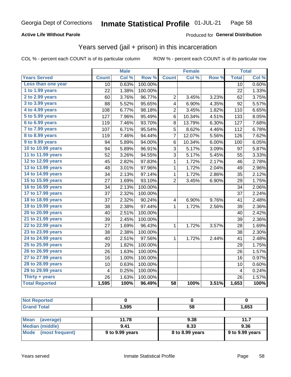### **Active Life Without Parole**

### Produced for General Distribution

## Years served (jail + prison) in this incarceration

COL % - percent each COUNT is of its particular column

|                       |              | <b>Male</b> |         |                         | <b>Female</b> |       |                         | <b>Total</b> |
|-----------------------|--------------|-------------|---------|-------------------------|---------------|-------|-------------------------|--------------|
| <b>Years Served</b>   | <b>Count</b> | Col %       | Row %   | <b>Count</b>            | Col %         | Row % | <b>Total</b>            | Col %        |
| Less than one year    | 10           | 0.63%       | 100.00% |                         |               |       | 10                      | 0.60%        |
| 1 to 1.99 years       | 22           | 1.38%       | 100.00% |                         |               |       | 22                      | 1.33%        |
| 2 to 2.99 years       | 60           | 3.76%       | 96.77%  | $\overline{c}$          | 3.45%         | 3.23% | 62                      | 3.75%        |
| 3 to 3.99 years       | 88           | 5.52%       | 95.65%  | 4                       | 6.90%         | 4.35% | 92                      | 5.57%        |
| 4 to 4.99 years       | 108          | 6.77%       | 98.18%  | $\overline{c}$          | 3.45%         | 1.82% | 110                     | 6.65%        |
| 5 to 5.99 years       | 127          | 7.96%       | 95.49%  | 6                       | 10.34%        | 4.51% | 133                     | 8.05%        |
| 6 to 6.99 years       | 119          | 7.46%       | 93.70%  | 8                       | 13.79%        | 6.30% | 127                     | 7.68%        |
| 7 to 7.99 years       | 107          | 6.71%       | 95.54%  | 5                       | 8.62%         | 4.46% | 112                     | 6.78%        |
| 8 to 8.99 years       | 119          | 7.46%       | 94.44%  | 7                       | 12.07%        | 5.56% | 126                     | 7.62%        |
| 9 to 9.99 years       | 94           | 5.89%       | 94.00%  | 6                       | 10.34%        | 6.00% | 100                     | 6.05%        |
| 10 to 10.99 years     | 94           | 5.89%       | 96.91%  | 3                       | 5.17%         | 3.09% | 97                      | 5.87%        |
| 11 to 11.99 years     | 52           | 3.26%       | 94.55%  | 3                       | 5.17%         | 5.45% | 55                      | 3.33%        |
| 12 to 12.99 years     | 45           | 2.82%       | 97.83%  | 1                       | 1.72%         | 2.17% | 46                      | 2.78%        |
| 13 to 13.99 years     | 48           | 3.01%       | 97.96%  | $\mathbf 1$             | 1.72%         | 2.04% | 49                      | 2.96%        |
| 14 to 14.99 years     | 34           | 2.13%       | 97.14%  | $\mathbf 1$             | 1.72%         | 2.86% | 35                      | 2.12%        |
| 15 to 15.99 years     | 27           | 1.69%       | 93.10%  | $\overline{2}$          | 3.45%         | 6.90% | 29                      | 1.75%        |
| 16 to 16.99 years     | 34           | 2.13%       | 100.00% |                         |               |       | 34                      | 2.06%        |
| 17 to 17.99 years     | 37           | 2.32%       | 100.00% |                         |               |       | 37                      | 2.24%        |
| 18 to 18.99 years     | 37           | 2.32%       | 90.24%  | $\overline{\mathbf{4}}$ | 6.90%         | 9.76% | 41                      | 2.48%        |
| 19 to 19.99 years     | 38           | 2.38%       | 97.44%  | $\mathbf{1}$            | 1.72%         | 2.56% | 39                      | 2.36%        |
| 20 to 20.99 years     | 40           | 2.51%       | 100.00% |                         |               |       | 40                      | 2.42%        |
| 21 to 21.99 years     | 39           | 2.45%       | 100.00% |                         |               |       | 39                      | 2.36%        |
| 22 to 22.99 years     | 27           | 1.69%       | 96.43%  | 1                       | 1.72%         | 3.57% | 28                      | 1.69%        |
| 23 to 23.99 years     | 38           | 2.38%       | 100.00% |                         |               |       | 38                      | 2.30%        |
| 24 to 24.99 years     | 40           | 2.51%       | 97.56%  | 1                       | 1.72%         | 2.44% | 41                      | 2.48%        |
| 25 to 25.99 years     | 29           | 1.82%       | 100.00% |                         |               |       | 29                      | 1.75%        |
| 26 to 26.99 years     | 26           | 1.63%       | 100.00% |                         |               |       | 26                      | 1.57%        |
| 27 to 27.99 years     | 16           | 1.00%       | 100.00% |                         |               |       | 16                      | 0.97%        |
| 28 to 28.99 years     | 10           | 0.63%       | 100.00% |                         |               |       | 10                      | 0.60%        |
| 29 to 29.99 years     | 4            | 0.25%       | 100.00% |                         |               |       | $\overline{\mathbf{4}}$ | 0.24%        |
| Thirty + years        | 26           | 1.63%       | 100.00% |                         |               |       | 26                      | 1.57%        |
| <b>Total Reported</b> | 1,595        | 100%        | 96.49%  | $\overline{58}$         | 100%          | 3.51% | 1,653                   | 100%         |

| <b>Not Reported</b> |       |      |       |
|---------------------|-------|------|-------|
| <b>Grand Total</b>  | 1,595 | 58   | 1,653 |
|                     |       |      |       |
| Mean (average)      | 11.78 | 9.38 | 11.7  |
| M                   | 0.44  | 0.22 | n oc  |

| N                      | . 0             | ວ.∪ບ            | .                             |
|------------------------|-----------------|-----------------|-------------------------------|
| <b>Median (middle)</b> | 9.41            | 8.33            | 9.36                          |
| Mode (most frequent)   | 9 to 9.99 years | 8 to 8.99 years | $\frac{1}{2}$ 9 to 9.99 years |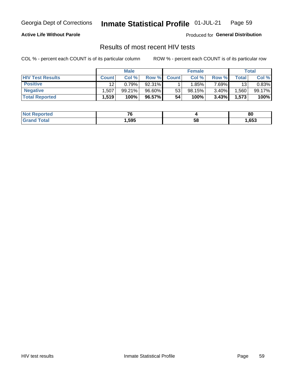#### Inmate Statistical Profile 01-JUL-21 Page 59

**Active Life Without Parole** 

Produced for General Distribution

## Results of most recent HIV tests

COL % - percent each COUNT is of its particular column

|                         | <b>Male</b>  |        |           | <b>Female</b> |        |          | Total |        |
|-------------------------|--------------|--------|-----------|---------------|--------|----------|-------|--------|
| <b>HIV Test Results</b> | <b>Count</b> | Col %  | Row %I    | <b>Count</b>  | Col %  | Row %    | Total | Col %  |
| <b>Positive</b>         | 12           | 0.79%  | 92.31%    |               | 1.85%  | $7.69\%$ | 13    | 0.83%  |
| <b>Negative</b>         | .507         | 99.21% | 96.60%    | 53            | 98.15% | 3.40%    | .560  | 99.17% |
| <b>Total Reported</b>   | 1,519        | 100%   | $96.57\%$ | 54            | 100%   | 3.43%    | 1,573 | 100%   |

| <b>Not</b><br><b>Reported</b> | --     |    | 80   |
|-------------------------------|--------|----|------|
| <b>ota</b><br>$C = 1$         | 595, ا | 58 | ,653 |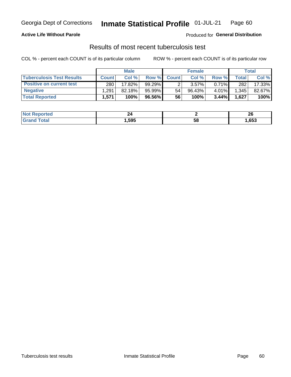## Georgia Dept of Corrections **Inmate Statistical Profile** 01-JUL-21 Page 60

### **Active Life Without Parole**

Produced for **General Distribution**

## Results of most recent tuberculosis test

COL % - percent each COUNT is of its particular column ROW % - percent each COUNT is of its particular row

|                                  | <b>Male</b>  |        |          | <b>Female</b> |           |          | Total        |        |
|----------------------------------|--------------|--------|----------|---------------|-----------|----------|--------------|--------|
| <b>Tuberculosis Test Results</b> | <b>Count</b> | Col%   | Row %I   | <b>Count</b>  | Col %     | Row %    | <b>Total</b> | Col %  |
| <b>Positive on current test</b>  | 280          | 17.82% | 99.29%   |               | 3.57%     | $0.71\%$ | 282          | 17.33% |
| <b>Negative</b>                  | .291         | 82.18% | 95.99%   | 54            | $96.43\%$ | 4.01%    | .345         | 82.67% |
| <b>Total Reported</b>            | .571         | 100%   | 96.56% l | 56            | 100%      | 3.44%    | 1,627        | 100%   |

| <b>Not Reported</b> | 44     |    | n,<br>ZU |
|---------------------|--------|----|----------|
| <b>Total</b>        | 595. ا | วซ | ,653     |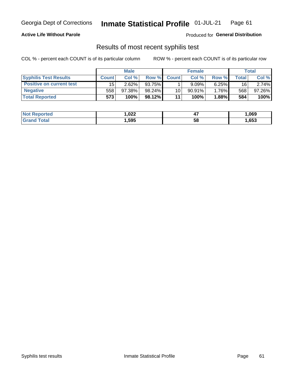## Georgia Dept of Corrections **Inmate Statistical Profile** 01-JUL-21 Page 61

### **Active Life Without Parole**

Produced for **General Distribution**

## Results of most recent syphilis test

COL % - percent each COUNT is of its particular column ROW % - percent each COUNT is of its particular row

|                                 | <b>Male</b>  |        |           | <b>Female</b> |           |          | Total |        |
|---------------------------------|--------------|--------|-----------|---------------|-----------|----------|-------|--------|
| <b>Syphilis Test Results</b>    | <b>Count</b> | Col %  | Row %     | <b>Count</b>  | Col %     | Row %I   | Total | Col %  |
| <b>Positive on current test</b> | 15           | 2.62%  | 93.75%    |               | 9.09%     | 6.25%    | 16    | 2.74%  |
| <b>Negative</b>                 | 558          | 97.38% | $98.24\%$ | 10            | $90.91\%$ | $1.76\%$ | 568   | 97.26% |
| <b>Total Reported</b>           | 573          | 100%   | 98.12%    | 11            | 100%      | $1.88\%$ | 584   | 100%   |

| <b>Not Reported</b> | 022. ا | <br>- 1 | 069, ا |
|---------------------|--------|---------|--------|
| <b>Total</b>        | ,595   | 58      | ,653   |